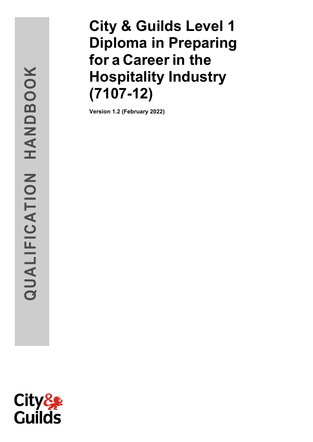# HANDBOOK **QUALIFICATION HANDBOOK**QUALIFICATION

# **City & Guilds Level 1 Diploma in Preparing for a Careerin the Hospitality Industry (7107 -12)**

**Version 1. 2 (February 2022 )**

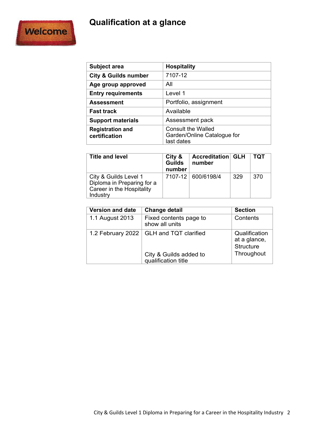# **Qualification at a glance**



| <b>Subject area</b>                      | <b>Hospitality</b>                                                     |
|------------------------------------------|------------------------------------------------------------------------|
| <b>City &amp; Guilds number</b>          | 7107-12                                                                |
| Age group approved                       | All                                                                    |
| <b>Entry requirements</b>                | Level 1                                                                |
| <b>Assessment</b>                        | Portfolio, assignment                                                  |
| <b>Fast track</b>                        | Available                                                              |
| <b>Support materials</b>                 | Assessment pack                                                        |
| <b>Registration and</b><br>certification | <b>Consult the Walled</b><br>Garden/Online Catalogue for<br>last dates |

| <b>Title and level</b>                                                                       | City &<br><b>Guilds</b><br>number | <b>Accreditation GLH</b><br>number |     | тот |
|----------------------------------------------------------------------------------------------|-----------------------------------|------------------------------------|-----|-----|
| City & Guilds Level 1<br>Diploma in Preparing for a<br>Career in the Hospitality<br>Industry |                                   | 7107-12 600/6198/4                 | 329 | 370 |

| <b>Version and date</b> | <b>Change detail</b>                                   | <b>Section</b>                                           |
|-------------------------|--------------------------------------------------------|----------------------------------------------------------|
| 1.1 August 2013         | Fixed contents page to<br>show all units               | Contents                                                 |
| 1.2 February 2022       | <b>GLH and TQT clarified</b><br>City & Guilds added to | Qualification<br>at a glance,<br>Structure<br>Throughout |
|                         | qualification title                                    |                                                          |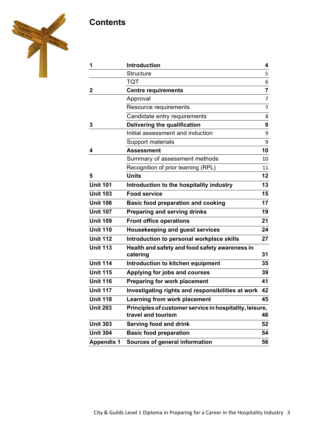# **Contents**



| 1                 | <b>Introduction</b>                                        | 4                |
|-------------------|------------------------------------------------------------|------------------|
|                   | <b>Structure</b>                                           | 5                |
|                   | TQT                                                        | 6                |
| $\mathbf 2$       | <b>Centre requirements</b>                                 | $\overline{7}$   |
|                   | Approval                                                   | $\overline{7}$   |
|                   | Resource requirements                                      | $\overline{7}$   |
|                   | Candidate entry requirements                               | 8                |
| 3                 | Delivering the qualification                               | $\boldsymbol{9}$ |
|                   | Initial assessment and induction                           | 9                |
|                   | Support materials                                          | 9                |
| 4                 | <b>Assessment</b>                                          | 10               |
|                   | Summary of assessment methods                              | 10               |
|                   | Recognition of prior learning (RPL)                        | 11               |
| 5                 | <b>Units</b>                                               | 12               |
| <b>Unit 101</b>   | Introduction to the hospitality industry                   | 13               |
| <b>Unit 103</b>   | <b>Food service</b>                                        | 15               |
| <b>Unit 106</b>   | <b>Basic food preparation and cooking</b>                  | 17               |
| <b>Unit 107</b>   | <b>Preparing and serving drinks</b>                        | 19               |
| <b>Unit 109</b>   | <b>Front office operations</b>                             | 21               |
| <b>Unit 110</b>   | <b>Housekeeping and guest services</b>                     | 24               |
| <b>Unit 112</b>   | Introduction to personal workplace skills                  | 27               |
| <b>Unit 113</b>   | Health and safety and food safety awareness in<br>catering | 31               |
| <b>Unit 114</b>   | Introduction to kitchen equipment                          | 35               |
| <b>Unit 115</b>   | Applying for jobs and courses                              | 39               |
| <b>Unit 116</b>   | Preparing for work placement                               | 41               |
| <b>Unit 117</b>   | Investigating rights and responsibilities at work          | 42               |
| <b>Unit 118</b>   | Learning from work placement                               | 45               |
| <b>Unit 203</b>   | Principles of customer service in hospitality, leisure,    |                  |
|                   | travel and tourism                                         | 46               |
| <b>Unit 303</b>   | Serving food and drink                                     | 52               |
| <b>Unit 304</b>   | <b>Basic food preparation</b>                              | 54               |
| <b>Appendix 1</b> | Sources of general information                             | 56               |
|                   |                                                            |                  |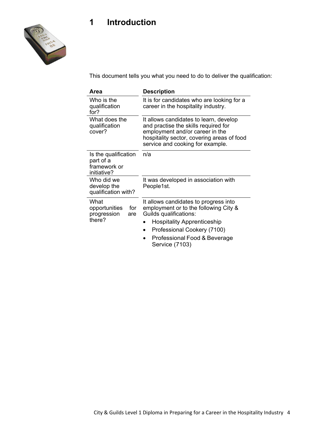# **1 Introduction**



This document tells you what you need to do to deliver the qualification:

| Area                                                             | <b>Description</b>                                                                                                                                                                                  |
|------------------------------------------------------------------|-----------------------------------------------------------------------------------------------------------------------------------------------------------------------------------------------------|
| Who is the<br>qualification<br>for?                              | It is for candidates who are looking for a<br>career in the hospitality industry.                                                                                                                   |
| What does the<br>qualification<br>cover?                         | It allows candidates to learn, develop<br>and practise the skills required for<br>employment and/or career in the<br>hospitality sector, covering areas of food<br>service and cooking for example. |
| Is the qualification<br>part of a<br>framework or<br>initiative? | n/a                                                                                                                                                                                                 |
| Who did we<br>develop the<br>qualification with?                 | It was developed in association with<br>People1st.                                                                                                                                                  |
| What<br>for<br>opportunities<br>progression<br>are               | It allows candidates to progress into<br>employment or to the following City &<br>Guilds qualifications:                                                                                            |
| there?                                                           | <b>Hospitality Apprenticeship</b>                                                                                                                                                                   |
|                                                                  | Professional Cookery (7100)<br>0                                                                                                                                                                    |
|                                                                  | Professional Food & Beverage<br>Service (7103)                                                                                                                                                      |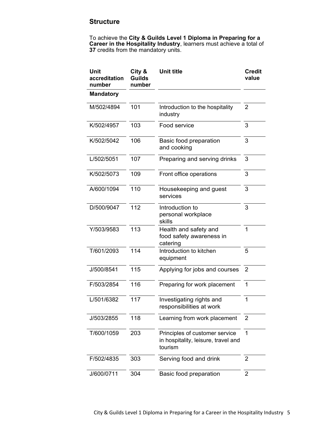### **Structure**

To achieve the **City & Guilds Level 1 Diploma in Preparing for a Career in the Hospitality Industry**, learners must achieve a total of **37** credits from the mandatory units.

| Unit<br>accreditation<br>number | City &<br><b>Guilds</b><br>number | <b>Unit title</b>                                                                | <b>Credit</b><br>value |
|---------------------------------|-----------------------------------|----------------------------------------------------------------------------------|------------------------|
| <b>Mandatory</b>                |                                   |                                                                                  |                        |
| M/502/4894                      | 101                               | Introduction to the hospitality<br>industry                                      | $\overline{2}$         |
| K/502/4957                      | 103                               | Food service                                                                     | 3                      |
| K/502/5042                      | 106                               | Basic food preparation<br>and cooking                                            | 3                      |
| L/502/5051                      | 107                               | Preparing and serving drinks                                                     | 3                      |
| K/502/5073                      | 109                               | Front office operations                                                          | 3                      |
| A/600/1094                      | 110                               | Housekeeping and guest<br>services                                               | 3                      |
| D/500/9047                      | 112                               | Introduction to<br>personal workplace<br>skills                                  | 3                      |
| Y/503/9583                      | 113                               | Health and safety and<br>food safety awareness in<br>catering                    | 1                      |
| T/601/2093                      | 114                               | Introduction to kitchen<br>equipment                                             | 5                      |
| J/500/8541                      | 115                               | Applying for jobs and courses                                                    | 2                      |
| F/503/2854                      | 116                               | Preparing for work placement                                                     | 1                      |
| L/501/6382                      | 117                               | Investigating rights and<br>responsibilities at work                             | 1                      |
| J/503/2855                      | 118                               | Learning from work placement                                                     | $\overline{2}$         |
| T/600/1059                      | 203                               | Principles of customer service<br>in hospitality, leisure, travel and<br>tourism | 1                      |
| F/502/4835                      | 303                               | Serving food and drink                                                           | $\overline{2}$         |
| J/600/0711                      | 304                               | Basic food preparation                                                           | $\overline{2}$         |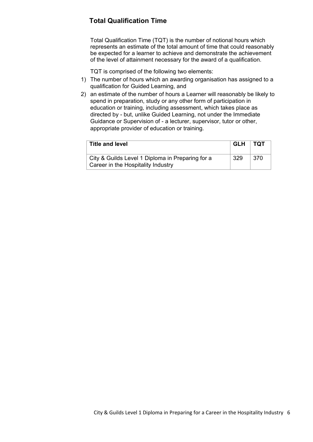## **Total Qualification Time**

Total Qualification Time (TQT) is the number of notional hours which represents an estimate of the total amount of time that could reasonably be expected for a learner to achieve and demonstrate the achievement of the level of attainment necessary for the award of a qualification.

TQT is comprised of the following two elements:

- 1) The number of hours which an awarding organisation has assigned to a qualification for Guided Learning, and
- 2) an estimate of the number of hours a Learner will reasonably be likely to spend in preparation, study or any other form of participation in education or training, including assessment, which takes place as directed by - but, unlike Guided Learning, not under the Immediate Guidance or Supervision of - a lecturer, supervisor, tutor or other, appropriate provider of education or training.

| <b>Title and level</b>                                                                 | GLH TQT |      |
|----------------------------------------------------------------------------------------|---------|------|
| City & Guilds Level 1 Diploma in Preparing for a<br>Career in the Hospitality Industry | 329     | -370 |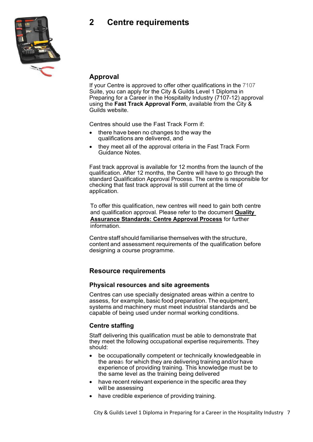# **2 Centre requirements**



### **Approval**

If your Centre is approved to offer other qualifications in the 7107 Suite, you can apply for the City & Guilds Level 1 Diploma in Preparing for a Career in the Hospitality Industry (7107-12) approval using the **Fast Track Approval Form**, available from the City & Guilds website.

Centres should use the Fast Track Form if:

- there have been no changes to the way the qualifications are delivered, and
- they meet all of the approval criteria in the Fast Track Form Guidance Notes.

Fast track approval is available for 12 months from the launch of the qualification. After 12 months, the Centre will have to go through the standard Qualification Approval Process. The centre is responsible for checking that fast track approval is still current at the time of application.

To offer this qualification, new centres will need to gain both centre and qualification approval. Please refer to the document **[Quality](https://www.cityandguilds.com/-/media/ilm-website/sharepoint-documents/_published-documents/qas-centre-approval-process-pdf.ashx?la=en&hash=990ED9AD884A4BEF59DCB03477E94F0FBB0D027F)  [Assurance Standards: Centre Approval Process](https://www.cityandguilds.com/-/media/ilm-website/sharepoint-documents/_published-documents/qas-centre-approval-process-pdf.ashx?la=en&hash=990ED9AD884A4BEF59DCB03477E94F0FBB0D027F)** for further information.

Centre staff should familiarise themselves with the structure, content and assessment requirements of the qualification before designing a course programme.

### **Resource requirements**

### **Physical resources and site agreements**

Centres can use specially designated areas within a centre to assess, for example, basic food preparation. The equipment, systems and machinery must meet industrial standards and be capable of being used under normal working conditions.

### **Centre staffing**

Staff delivering this qualification must be able to demonstrate that they meet the following occupational expertise requirements. They should:

- be occupationally competent or technically knowledgeable in the areas for which they are delivering training and/or have experience of providing training. This knowledge must be to the same level as the training being delivered
- have recent relevant experience in the specific area they will be assessing
- have credible experience of providing training.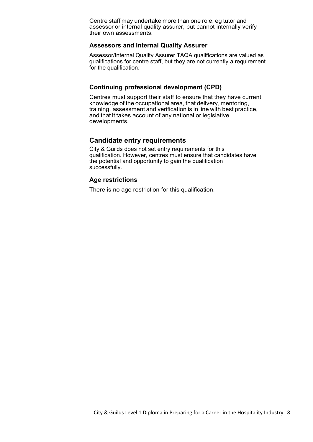Centre staff may undertake more than one role, eg tutor and assessor or internal quality assurer, but cannot internally verify their own assessments.

### **Assessors and Internal Quality Assurer**

Assessor/Internal Quality Assurer TAQA qualifications are valued as qualifications for centre staff, but they are not currently a requirement for the qualification.

### **Continuing professional development (CPD)**

Centres must support their staff to ensure that they have current knowledge of the occupational area, that delivery, mentoring, training, assessment and verification is in line with best practice, and that it takes account of any national or legislative developments.

### **Candidate entry requirements**

City & Guilds does not set entry requirements for this qualification. However, centres must ensure that candidates have the potential and opportunity to gain the qualification successfully.

### **Age restrictions**

There is no age restriction for this qualification.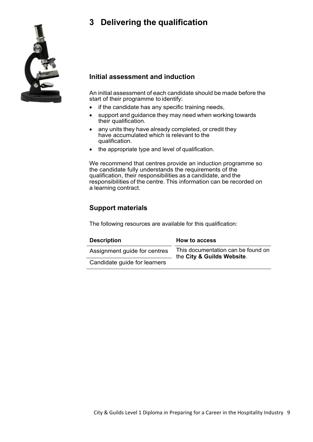# **3 Delivering the qualification**



### **Initial assessment and induction**

An initial assessment of each candidate should be made before the start of their programme to identify:

- if the candidate has any specific training needs,
- support and guidance they may need when working towards their qualification.
- any units they have already completed, or credit they have accumulated which is relevant to the qualification.
- the appropriate type and level of qualification.

We recommend that centres provide an induction programme so the candidate fully understands the requirements of the qualification, their responsibilities as a candidate, and the responsibilities of the centre. This information can be recorded on a learning contract.

### **Support materials**

The following resources are available for this qualification:

| <b>Description</b>           | <b>How to access</b>                                             |
|------------------------------|------------------------------------------------------------------|
| Assignment guide for centres | This documentation can be found on<br>the City & Guilds Website. |
| Candidate guide for learners |                                                                  |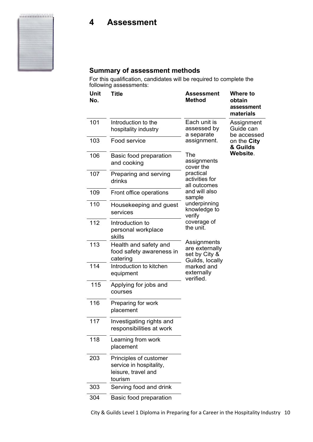# **4 Assessment**



For this qualification, candidates will be required to complete the following assessments:

| Unit<br>No. | <b>Title</b>                                                                        | <b>Assessment</b><br><b>Method</b>                                | Where to<br>obtain<br>assessment<br>materials |
|-------------|-------------------------------------------------------------------------------------|-------------------------------------------------------------------|-----------------------------------------------|
| 101         | Introduction to the<br>hospitality industry                                         | Each unit is<br>assessed by<br>a separate                         | Assignment<br>Guide can<br>be accessed        |
| 103         | Food service                                                                        | assignment.                                                       | on the City<br>& Guilds                       |
| 106         | Basic food preparation<br>and cooking                                               | The<br>assignments<br>cover the                                   | Website.                                      |
| 107         | Preparing and serving<br>drinks                                                     | practical<br>activities for<br>all outcomes                       |                                               |
| 109         | Front office operations                                                             | and will also<br>sample                                           |                                               |
| 110         | Housekeeping and guest<br>services                                                  | underpinning<br>knowledge to<br>verify                            |                                               |
| 112         | Introduction to<br>personal workplace<br>skills                                     | coverage of<br>the unit.                                          |                                               |
| 113         | Health and safety and<br>food safety awareness in<br>catering                       | Assignments<br>are externally<br>set by City &<br>Guilds, locally |                                               |
| 114         | Introduction to kitchen<br>equipment                                                | marked and<br>externally<br>verified.                             |                                               |
| 115         | Applying for jobs and<br>courses                                                    |                                                                   |                                               |
| 116         | Preparing for work<br>placement                                                     |                                                                   |                                               |
| 117         | Investigating rights and<br>responsibilities at work                                |                                                                   |                                               |
| 118         | Learning from work<br>placement                                                     |                                                                   |                                               |
| 203         | Principles of customer<br>service in hospitality,<br>leisure, travel and<br>tourism |                                                                   |                                               |
| 303         | Serving food and drink                                                              |                                                                   |                                               |
| 304         | Basic food preparation                                                              |                                                                   |                                               |

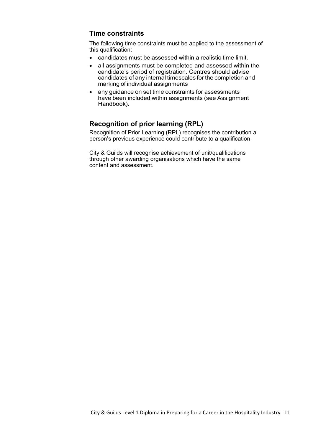### **Time constraints**

The following time constraints must be applied to the assessment of this qualification:

- candidates must be assessed within a realistic time limit.
- all assignments must be completed and assessed within the candidate's period of registration. Centres should advise candidates of any internal timescales for the completion and marking of individual assignments
- any guidance on set time constraints for assessments have been included within assignments (see Assignment Handbook).

### **Recognition of prior learning (RPL)**

Recognition of Prior Learning (RPL) recognises the contribution a person's previous experience could contribute to a qualification.

City & Guilds will recognise achievement of unit/qualifications through other awarding organisations which have the same content and assessment.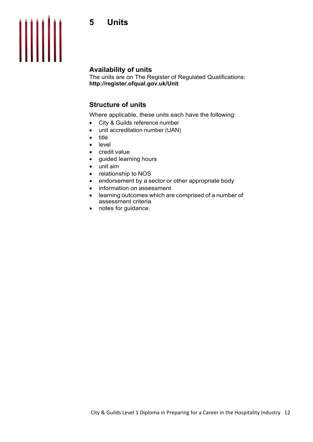# **5 Units**



### **Availability of units**

The units are on The Register of Regulated Qualifications: **<http://register.ofqual.gov.uk/Unit>**

### **Structure of units**

Where applicable, these units each have the following:

- City & Guilds reference number
- unit accreditation number (UAN)
- title
- level
- credit value
- guided learning hours
- unit aim
- relationship to NOS
- endorsement by a sector or other appropriate body
- information on assessment
- learning outcomes which are comprised of a number of assessment criteria
- notes for guidance.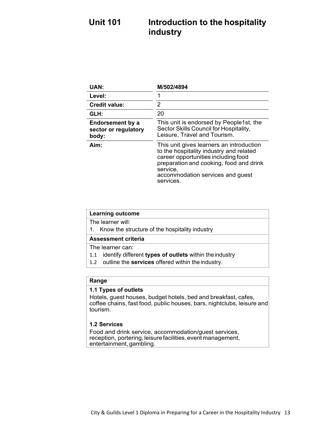# **Unit 101 Introduction to the hospitality industry**

| <b>UAN:</b>                                       | M/502/4894                                                                                                                                                                                                                         |
|---------------------------------------------------|------------------------------------------------------------------------------------------------------------------------------------------------------------------------------------------------------------------------------------|
| Level:                                            |                                                                                                                                                                                                                                    |
| <b>Credit value:</b>                              | 2                                                                                                                                                                                                                                  |
| GLH:                                              | 20                                                                                                                                                                                                                                 |
| Endorsement by a<br>sector or regulatory<br>body: | This unit is endorsed by People1st, the<br>Sector Skills Council for Hospitality,<br>Leisure, Travel and Tourism.                                                                                                                  |
| Aim:                                              | This unit gives learners an introduction<br>to the hospitality industry and related<br>career opportunities including food<br>preparation and cooking, food and drink<br>service,<br>accommodation services and guest<br>services. |

| <b>Learning outcome</b>                           |  |
|---------------------------------------------------|--|
| The learner will:                                 |  |
| 1. Know the structure of the hospitality industry |  |
| <b>Assessment criteria</b>                        |  |
|                                                   |  |
| The learner can:                                  |  |

1.2 outline the **services** offered within the industry.

### **Range**

### **1.1 Types of outlets**

Hotels, guest houses, budget hotels, bed and breakfast, cafes, coffee chains, fast food, public houses, bars, nightclubs, leisure and tourism.

### **1.2 Services**

Food and drink service, accommodation/guest services, reception, portering, leisure facilities, event management, entertainment, gambling.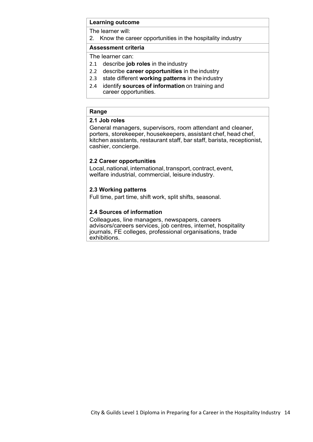The learner will:

2. Know the career opportunities in the hospitality industry

### **Assessment criteria**

The learner can:

- 2.1 describe **job roles** in the industry
- 2.2 describe **career opportunities** in the industry
- 2.3 state different **working patterns** in the industry
- 2.4 identify **sources of information** on training and career opportunities.

### **Range**

### **2.1 Job roles**

General managers, supervisors, room attendant and cleaner, porters, storekeeper, housekeepers, assistant chef, head chef, kitchen assistants, restaurant staff, bar staff, barista, receptionist, cashier, concierge.

### **2.2 Career opportunities**

Local, national, international, transport, contract, event, welfare industrial, commercial, leisure industry.

### **2.3 Working patterns**

Full time, part time, shift work, split shifts, seasonal.

### **2.4 Sources of information**

Colleagues, line managers, newspapers, careers advisors/careers services, job centres, internet, hospitality journals, FE colleges, professional organisations, trade exhibitions.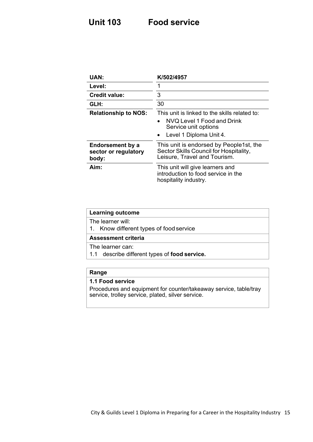# **Unit 103 Food service**

| <b>UAN:</b>                                       | K/502/4957                                                                                                                                  |
|---------------------------------------------------|---------------------------------------------------------------------------------------------------------------------------------------------|
| Level:                                            | 1                                                                                                                                           |
| <b>Credit value:</b>                              | 3                                                                                                                                           |
| GLH:                                              | 30                                                                                                                                          |
| <b>Relationship to NOS:</b>                       | This unit is linked to the skills related to:<br>NVQ Level 1 Food and Drink<br>$\bullet$<br>Service unit options<br>Level 1 Diploma Unit 4. |
| Endorsement by a<br>sector or regulatory<br>body: | This unit is endorsed by People1st, the<br>Sector Skills Council for Hospitality,<br>Leisure, Travel and Tourism.                           |
| Aim:                                              | This unit will give learners and<br>introduction to food service in the<br>hospitality industry.                                            |

| <b>Learning outcome</b>                              |  |  |
|------------------------------------------------------|--|--|
| The learner will:                                    |  |  |
| 1. Know different types of food service              |  |  |
| <b>Assessment criteria</b>                           |  |  |
| The learner can:                                     |  |  |
| 1.1 describe different types of <b>food service.</b> |  |  |
|                                                      |  |  |

### **Range**

### **1.1 Food service**

Procedures and equipment for counter/takeaway service, table/tray service, trolley service, plated, silver service.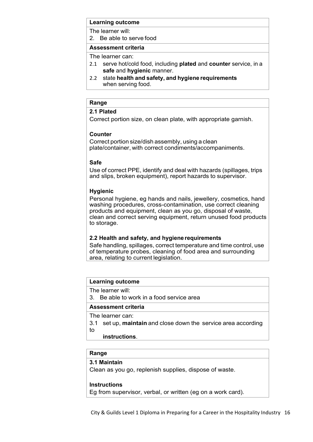The learner will:

2. Be able to serve food

### **Assessment criteria**

The learner can:

- 2.1 serve hot/cold food, including **plated** and **counter** service, in a **safe** and **hygienic** manner.
- 2.2 state **health and safety, and hygiene requirements** when serving food.

### **Range**

### **2.1 Plated**

Correct portion size, on clean plate, with appropriate garnish.

### **Counter**

Correct portion size/dish assembly, using a clean plate/container, with correct condiments/accompaniments.

### **Safe**

Use of correct PPE, identify and deal with hazards (spillages, trips and slips, broken equipment), report hazards to supervisor.

### **Hygienic**

Personal hygiene, eg hands and nails, jewellery, cosmetics, hand washing procedures, cross-contamination, use correct cleaning products and equipment, clean as you go, disposal of waste, clean and correct serving equipment, return unused food products to storage.

### **2.2 Health and safety, and hygiene requirements**

Safe handling, spillages, correct temperature and time control, use of temperature probes, cleaning of food area and surrounding area, relating to current legislation.

### **Learning outcome**

The learner will:

3. Be able to work in a food service area

### **Assessment criteria**

The learner can:

- 3.1 set up, **maintain** and close down the service area according to
	- **instructions**.

### **Range**

### **3.1 Maintain**

Clean as you go, replenish supplies, dispose of waste.

### **Instructions**

Eg from supervisor, verbal, or written (eg on a work card).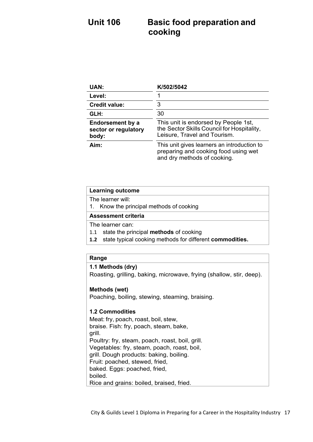# **Unit 106 Basic food preparation and cooking**

| <b>UAN:</b>                                       | K/502/5042                                                                                                         |
|---------------------------------------------------|--------------------------------------------------------------------------------------------------------------------|
| Level:                                            |                                                                                                                    |
| <b>Credit value:</b>                              | 3                                                                                                                  |
| GLH:                                              | 30                                                                                                                 |
| Endorsement by a<br>sector or regulatory<br>body: | This unit is endorsed by People 1st,<br>the Sector Skills Council for Hospitality,<br>Leisure, Travel and Tourism. |
| Aim:                                              | This unit gives learners an introduction to<br>preparing and cooking food using wet<br>and dry methods of cooking. |

| <b>Learning outcome</b>                    |  |
|--------------------------------------------|--|
| The learner will:                          |  |
| 1. Know the principal methods of cooking   |  |
| <b>Assessment criteria</b>                 |  |
| The learner can:                           |  |
| 1.1 state the principal methods of cooking |  |

**1.2** state typical cooking methods for different **commodities.**

### **Range**

### **1.1 Methods (dry)**

Roasting, grilling, baking, microwave, frying (shallow, stir, deep).

### **Methods (wet)**

Poaching, boiling, stewing, steaming, braising.

### **1.2 Commodities**

Meat: fry, poach, roast, boil, stew, braise. Fish: fry, poach, steam, bake, grill. Poultry: fry, steam, poach, roast, boil, grill. Vegetables: fry, steam, poach, roast, boil, grill. Dough products: baking, boiling. Fruit: poached, stewed, fried, baked. Eggs: poached, fried, boiled. Rice and grains: boiled, braised, fried.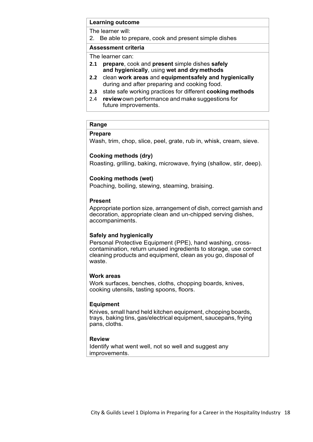The learner will:

2. Be able to prepare, cook and present simple dishes

### **Assessment criteria**

The learner can:

- **2.1 prepare**, cook and **present** simple dishes **safely and hygienically**, using **wet and dry methods**
- **2.2** clean **work areas** and **equipmentsafely and hygienically** during and after preparing and cooking food.
- **2.3** state safe working practices for different **cooking methods**
- 2.4 **review**own performance and make suggestions for future improvements.

### **Range**

### **Prepare**

Wash, trim, chop, slice, peel, grate, rub in, whisk, cream, sieve.

### **Cooking methods (dry)**

Roasting, grilling, baking, microwave, frying (shallow, stir, deep).

### **Cooking methods (wet)**

Poaching, boiling, stewing, steaming, braising.

### **Present**

Appropriate portion size, arrangement of dish, correct garnish and decoration, appropriate clean and un-chipped serving dishes, accompaniments.

### **Safely and hygienically**

Personal Protective Equipment (PPE), hand washing, crosscontamination, return unused ingredients to storage, use correct cleaning products and equipment, clean as you go, disposal of waste.

### **Work areas**

Work surfaces, benches, cloths, chopping boards, knives, cooking utensils, tasting spoons, floors.

### **Equipment**

Knives, small hand held kitchen equipment, chopping boards, trays, baking tins, gas/electrical equipment, saucepans, frying pans, cloths.

### **Review**

Identify what went well, not so well and suggest any improvements.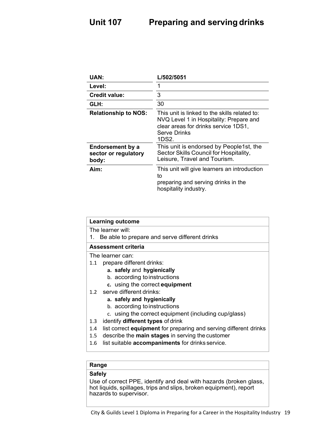| <b>UAN:</b>                                       | L/502/5051                                                                                                                                                       |
|---------------------------------------------------|------------------------------------------------------------------------------------------------------------------------------------------------------------------|
| Level:                                            | 1                                                                                                                                                                |
| <b>Credit value:</b>                              | 3                                                                                                                                                                |
| GLH:                                              | 30                                                                                                                                                               |
| <b>Relationship to NOS:</b>                       | This unit is linked to the skills related to:<br>NVQ Level 1 in Hospitality: Prepare and<br>clear areas for drinks service 1DS1,<br><b>Serve Drinks</b><br>1DS2. |
| Endorsement by a<br>sector or regulatory<br>body: | This unit is endorsed by People1st, the<br>Sector Skills Council for Hospitality,<br>Leisure, Travel and Tourism.                                                |
| Aim:                                              | This unit will give learners an introduction<br>to<br>preparing and serving drinks in the<br>hospitality industry.                                               |

| <b>Learning outcome</b>                                                         |
|---------------------------------------------------------------------------------|
| The learner will:                                                               |
| Be able to prepare and serve different drinks<br>1.                             |
| Assessment criteria                                                             |
| The learner can:                                                                |
| prepare different drinks:<br>1.1                                                |
| a. safely and hygienically                                                      |
| b. according to instructions                                                    |
| c. using the correct equipment                                                  |
| 1.2 serve different drinks:                                                     |
| a. safely and hygienically                                                      |
| b. according to instructions                                                    |
| c. using the correct equipment (including cup/glass)                            |
| identify different types of drink<br>1.3                                        |
| list correct <b>equipment</b> for preparing and serving different drinks<br>1.4 |
| 1.5 describe the main stages in serving the customer                            |
| list suitable accompaniments for drinks service.<br>1.6                         |

### **Range**

### **Safely**

Use of correct PPE, identify and deal with hazards (broken glass, hot liquids, spillages, trips and slips, broken equipment), report hazards to supervisor.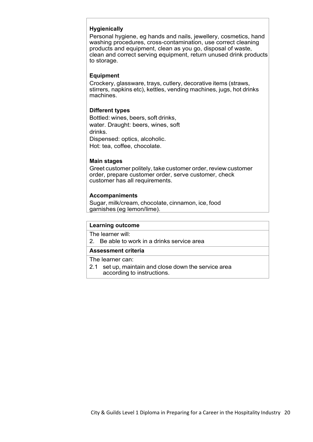### **Hygienically**

Personal hygiene, eg hands and nails, jewellery, cosmetics, hand washing procedures, cross-contamination, use correct cleaning products and equipment, clean as you go, disposal of waste, clean and correct serving equipment, return unused drink products to storage.

### **Equipment**

Crockery, glassware, trays, cutlery, decorative items (straws, stirrers, napkins etc), kettles, vending machines, jugs, hot drinks machines.

### **Different types**

Bottled: wines, beers, soft drinks, water. Draught: beers, wines, soft drinks. Dispensed: optics, alcoholic.

Hot: tea, coffee, chocolate.

### **Main stages**

Greet customer politely, take customer order, review customer order, prepare customer order, serve customer, check customer has all requirements.

### **Accompaniments**

Sugar, milk/cream, chocolate, cinnamon, ice, food garnishes (eg lemon/lime).

### **Learning outcome**

The learner will:

2. Be able to work in a drinks service area

### **Assessment criteria**

The learner can:

2.1 set up, maintain and close down the service area according to instructions.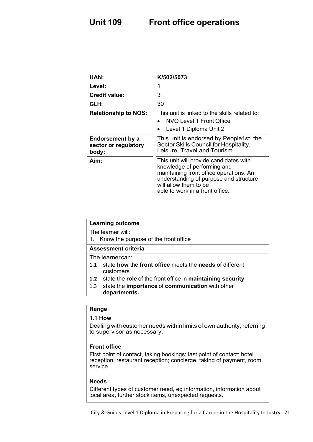# **Unit 109 Front office operations**

| <b>UAN:</b>                                       | K/502/5073                                                                                                                                                                                                             |
|---------------------------------------------------|------------------------------------------------------------------------------------------------------------------------------------------------------------------------------------------------------------------------|
| Level:                                            | 1                                                                                                                                                                                                                      |
| <b>Credit value:</b>                              | 3                                                                                                                                                                                                                      |
| GLH:                                              | 30                                                                                                                                                                                                                     |
| <b>Relationship to NOS:</b>                       | This unit is linked to the skills related to:<br>NVQ Level 1 Front Office<br>Level 1 Diploma Unit 2                                                                                                                    |
| Endorsement by a<br>sector or regulatory<br>body: | This unit is endorsed by People1st, the<br>Sector Skills Council for Hospitality,<br>Leisure, Travel and Tourism.                                                                                                      |
| Aim:                                              | This unit will provide candidates with<br>knowledge of performing and<br>maintaining front office operations. An<br>understanding of purpose and structure<br>will allow them to be<br>able to work in a front office. |

| <b>Learning outcome</b>                                           |
|-------------------------------------------------------------------|
| The learner will:                                                 |
| 1. Know the purpose of the front office                           |
| Assessment criteria                                               |
| The learnercan:                                                   |
| state how the front office meets the needs of different<br>1.1    |
| customers                                                         |
| state the role of the front office in maintaining security<br>1.2 |
| state the importance of communication with other<br>1.3           |
| departments.                                                      |
|                                                                   |
| Range                                                             |

### **1.1 How**

Dealing with customer needs within limits of own authority, referring to supervisor as necessary.

### **Front office**

First point of contact, taking bookings; last point of contact; hotel reception; restaurant reception; concierge, taking of payment, room service.

### **Needs**

Different types of customer need, eg information, information about local area, further stock items, unexpected requests.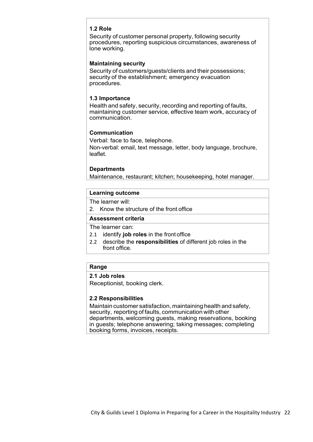### **1.2 Role**

Security of customer personal property, following security procedures, reporting suspicious circumstances, awareness of lone working.

### **Maintaining security**

Security of customers/guests/clients and their possessions; security of the establishment; emergency evacuation procedures.

### **1.3 Importance**

Health and safety, security, recording and reporting of faults, maintaining customer service, effective team work, accuracy of communication.

### **Communication**

Verbal: face to face, telephone. Non-verbal: email, text message, letter, body language, brochure, leaflet.

### **Departments**

Maintenance, restaurant; kitchen; housekeeping, hotel manager.

### **Learning outcome**

The learner will:

2. Know the structure of the front office

### **Assessment criteria**

The learner can:

- 2.1 identify **job roles** in the front office
- 2.2 describe the **responsibilities** of different job roles in the front office.

### **Range**

### **2.1 Job roles**

Receptionist, booking clerk.

### **2.2 Responsibilities**

Maintain customer satisfaction, maintaining health and safety, security, reporting of faults, communication with other departments, welcoming guests, making reservations, booking in guests; telephone answering; taking messages; completing booking forms, invoices, receipts.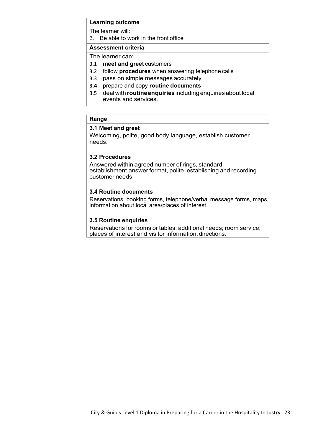The learner will:

3. Be able to work in the front office

### **Assessment criteria**

The learner can:

- 3.1 **meet and greet** customers
- 3.2 follow **procedures** when answering telephone calls
- 3.3 pass on simple messages accurately
- **3.4** prepare and copy **routine documents**
- 3.5 dealwith **routineenquiries**including enquiries about local events and services.

### **Range**

### **3.1 Meet and greet**

Welcoming, polite, good body language, establish customer needs.

### **3.2 Procedures**

Answered within agreed number of rings, standard establishment answer format, polite, establishing and recording customer needs.

### **3.4 Routine documents**

Reservations, booking forms, telephone/verbal message forms, maps, information about local area/places of interest.

### **3.5 Routine enquiries**

Reservations for rooms or tables; additional needs; room service; places of interest and visitor information, directions.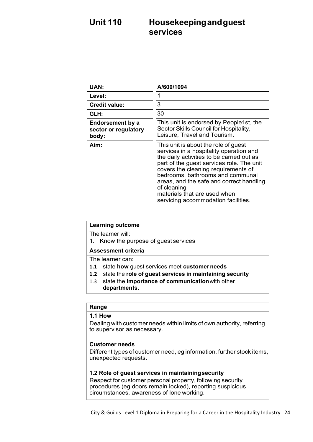# **Unit 110 Housekeepingandguest services**

| UAN:                                                     | A/600/1094                                                                                                                                                                                                                                                                                                                                                                             |
|----------------------------------------------------------|----------------------------------------------------------------------------------------------------------------------------------------------------------------------------------------------------------------------------------------------------------------------------------------------------------------------------------------------------------------------------------------|
| Level:                                                   | 1                                                                                                                                                                                                                                                                                                                                                                                      |
| <b>Credit value:</b>                                     | 3                                                                                                                                                                                                                                                                                                                                                                                      |
| GLH:                                                     | 30                                                                                                                                                                                                                                                                                                                                                                                     |
| <b>Endorsement by a</b><br>sector or regulatory<br>body: | This unit is endorsed by People1st, the<br>Sector Skills Council for Hospitality,<br>Leisure, Travel and Tourism.                                                                                                                                                                                                                                                                      |
| Aim:                                                     | This unit is about the role of guest<br>services in a hospitality operation and<br>the daily activities to be carried out as<br>part of the guest services role. The unit<br>covers the cleaning requirements of<br>bedrooms, bathrooms and communal<br>areas, and the safe and correct handling<br>of cleaning<br>materials that are used when<br>servicing accommodation facilities. |

| <b>Learning outcome</b>                                         |
|-----------------------------------------------------------------|
| The learner will                                                |
| 1. Know the purpose of guest services                           |
| <b>Assessment criteria</b>                                      |
| The learner can:                                                |
| state how guest services meet customer needs<br>1.1             |
| state the role of guest services in maintaining security<br>1.2 |
| state the importance of communication with other<br>1.3         |
| departments.                                                    |
|                                                                 |
| Range                                                           |

# **1.1 How**

Dealing with customer needs within limits of own authority, referring to supervisor as necessary.

### **Customer needs**

Different types of customer need, eg information, further stock items, unexpected requests.

### **1.2 Role of guest services in maintainingsecurity**

Respect for customer personal property, following security procedures (eg doors remain locked), reporting suspicious circumstances, awareness of lone working.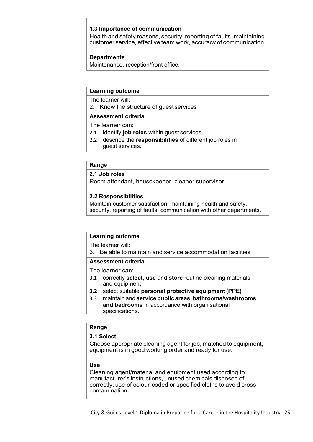### **1.3 Importance of communication**

Health and safety reasons, security, reporting of faults, maintaining customer service, effective team work, accuracy of communication.

### **Departments**

Maintenance, reception/front office.

### **Learning outcome**

The learner will:

2. Know the structure of guest services

### **Assessment criteria**

The learner can:

- 2.1 identify **job roles** within guest services
- 2.2 describe the **responsibilities** of different job roles in guest services.

### **Range**

**2.1 Job roles**

Room attendant, housekeeper, cleaner supervisor.

### **2.2 Responsibilities**

Maintain customer satisfaction, maintaining health and safety, security, reporting of faults, communication with other departments.

### **Learning outcome**

The learner will:

3. Be able to maintain and service accommodation facilities

### **Assessment criteria**

The learner can:

- 3.1 correctly **select, use** and **store** routine cleaning materials and equipment
- **3.2** select suitable **personal protective equipment (PPE)**
- 3.3 maintain and **service public areas, bathrooms/washrooms and bedrooms** in accordance with organisational specifications.

### **Range**

### **3.1 Select**

Choose appropriate cleaning agent for job, matched to equipment, equipment is in good working order and ready for use.

### **Use**

Cleaning agent/material and equipment used according to manufacturer's instructions, unused chemicals disposed of correctly, use of colour-coded or specified cloths to avoid crosscontamination.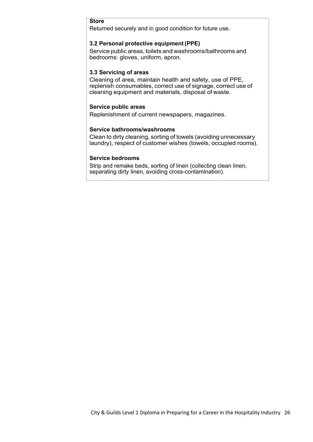### **Store**

Returned securely and in good condition for future use.

### **3.2 Personal protective equipment (PPE)**

Service public areas, toilets and washrooms/bathrooms and bedrooms: gloves, uniform, apron.

### **3.3 Servicing of areas**

Cleaning of area, maintain health and safety, use of PPE, replenish consumables, correct use of signage, correct use of cleaning equipment and materials, disposal of waste.

### **Service public areas**

Replenishment of current newspapers, magazines.

### **Service bathrooms/washrooms**

Clean to dirty cleaning, sorting of towels (avoiding unnecessary laundry), respect of customer wishes (towels, occupied rooms).

### **Service bedrooms**

Strip and remake beds, sorting of linen (collecting clean linen, separating dirty linen, avoiding cross-contamination).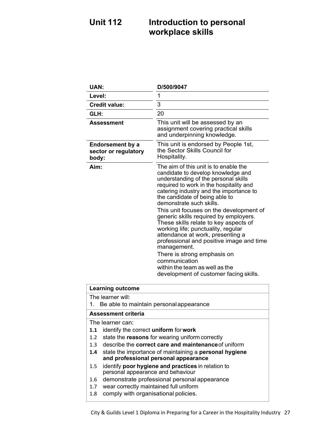# **Unit 112 Introduction to personal workplace skills**

| <b>UAN:</b>                                              | D/500/9047                                                                                                                                                                                                                                                                                                                                                                                                                                                                                                                                                                                                                                                            |
|----------------------------------------------------------|-----------------------------------------------------------------------------------------------------------------------------------------------------------------------------------------------------------------------------------------------------------------------------------------------------------------------------------------------------------------------------------------------------------------------------------------------------------------------------------------------------------------------------------------------------------------------------------------------------------------------------------------------------------------------|
| Level:                                                   | 1                                                                                                                                                                                                                                                                                                                                                                                                                                                                                                                                                                                                                                                                     |
| <b>Credit value:</b>                                     | 3                                                                                                                                                                                                                                                                                                                                                                                                                                                                                                                                                                                                                                                                     |
| GLH:                                                     | 20                                                                                                                                                                                                                                                                                                                                                                                                                                                                                                                                                                                                                                                                    |
| <b>Assessment</b>                                        | This unit will be assessed by an<br>assignment covering practical skills<br>and underpinning knowledge.                                                                                                                                                                                                                                                                                                                                                                                                                                                                                                                                                               |
| <b>Endorsement by a</b><br>sector or regulatory<br>body: | This unit is endorsed by People 1st,<br>the Sector Skills Council for<br>Hospitality.                                                                                                                                                                                                                                                                                                                                                                                                                                                                                                                                                                                 |
| Aim:                                                     | The aim of this unit is to enable the<br>candidate to develop knowledge and<br>understanding of the personal skills<br>required to work in the hospitality and<br>catering industry and the importance to<br>the candidate of being able to<br>demonstrate such skills.<br>This unit focuses on the development of<br>generic skills required by employers.<br>These skills relate to key aspects of<br>working life; punctuality, regular<br>attendance at work, presenting a<br>professional and positive image and time<br>management.<br>There is strong emphasis on<br>communication<br>within the team as well as the<br>development of customer facing skills. |

### **Learning outcome**

The learner will:

1. Be able to maintain personalappearance

### **Assessment criteria**

The learner can:

- **1.1** identify the correct **uniform** for **work**
- 1.2 state the **reasons** for wearing uniform correctly
- 1.3 describe the **correct care and maintenance**of uniform
- **1.4** state the importance of maintaining a **personal hygiene and professional personal appearance**
- 1.5 identify **poor hygiene and practices** in relation to personal appearance and behaviour
- 1.6 demonstrate professional personal appearance
- 1.7 wear correctly maintained full uniform
- 1.8 comply with organisational policies.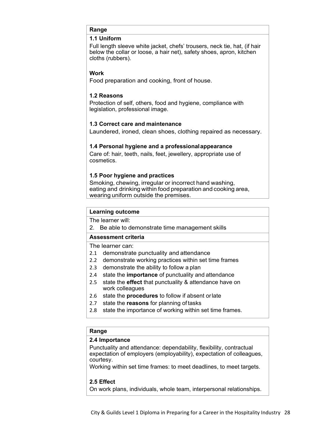### **Range**

### **1.1 Uniform**

Full length sleeve white jacket, chefs' trousers, neck tie, hat, (if hair below the collar or loose, a hair net), safety shoes, apron, kitchen cloths (rubbers).

### **Work**

Food preparation and cooking, front of house.

### **1.2 Reasons**

Protection of self, others, food and hygiene, compliance with legislation, professional image.

### **1.3 Correct care and maintenance**

Laundered, ironed, clean shoes, clothing repaired as necessary.

### **1.4 Personal hygiene and a professionalappearance**

Care of: hair, teeth, nails, feet, jewellery, appropriate use of cosmetics.

### **1.5 Poor hygiene and practices**

Smoking, chewing, irregular or incorrect hand washing, eating and drinking within food preparation and cooking area, wearing uniform outside the premises.

### **Learning outcome**

The learner will:

2. Be able to demonstrate time management skills

### **Assessment criteria**

The learner can:

- 2.1 demonstrate punctuality and attendance
- 2.2 demonstrate working practices within set time frames
- 2.3 demonstrate the ability to follow a plan
- 2.4 state the **importance** of punctuality and attendance
- 2.5 state the **effect** that punctuality & attendance have on work colleagues
- 2.6 state the **procedures** to follow if absent orlate
- 2.7 state the **reasons** for planning of tasks
- 2.8 state the importance of working within set time frames.

### **Range**

### **2.4 Importance**

Punctuality and attendance: dependability, flexibility, contractual expectation of employers (employability), expectation of colleagues, courtesy.

Working within set time frames: to meet deadlines, to meet targets.

### **2.5 Effect**

On work plans, individuals, whole team, interpersonal relationships.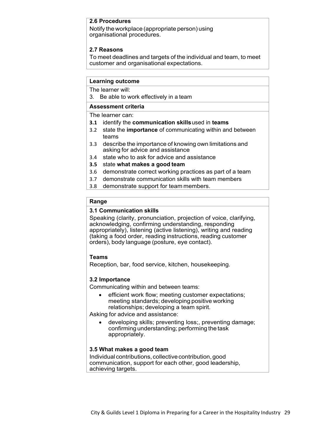### **2.6 Procedures**

Notify the workplace (appropriate person) using organisational procedures.

### **2.7 Reasons**

To meet deadlines and targets of the individual and team, to meet customer and organisational expectations.

### **Learning outcome**

The learner will:

3. Be able to work effectively in a team

### **Assessment criteria**

The learner can:

- **3.1** identify the **communication skills**used in **teams**
- 3.2 state the **importance** of communicating within and between teams
- 3.3 describe the importance of knowing own limitations and asking for advice and assistance
- 3.4 state who to ask for advice and assistance
- **3.5** state **what makes a good team**
- 3.6 demonstrate correct working practices as part of a team
- 3.7 demonstrate communication skills with team members
- 3.8 demonstrate support for team members.

### **Range**

### **3.1 Communication skills**

Speaking (clarity, pronunciation, projection of voice, clarifying, acknowledging, confirming understanding, responding appropriately), listening (active listening), writing and reading (taking a food order, reading instructions, reading customer orders), body language (posture, eye contact).

### **Teams**

Reception, bar, food service, kitchen, housekeeping.

### **3.2 Importance**

Communicating within and between teams:

efficient work flow; meeting customer expectations; meeting standards; developing positive working relationships; developing a team spirit.

Asking for advice and assistance:

• developing skills; preventing loss;, preventing damage; confirming understanding; performing the task appropriately.

### **3.5 What makes a good team**

Individual contributions, collective contribution, good communication, support for each other, good leadership, achieving targets.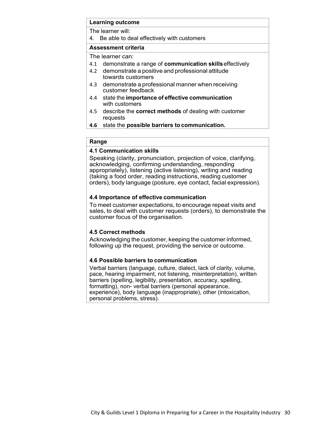### **Learning outcome** The learner will: 4. Be able to deal effectively with customers **Assessment criteria** The learner can: 4.1 demonstrate a range of **communication skills**effectively 4.2 demonstrate a positive and professional attitude towards customers 4.3 demonstrate a professional manner when receiving customer feedback 4.4 state the **importance of effective communication** with customers 4.5 describe the **correct methods** of dealing with customer requests **4.6** state the **possible barriers to communication.**

### **Range**

### **4.1 Communication skills**

Speaking (clarity, pronunciation, projection of voice, clarifying, acknowledging, confirming understanding, responding appropriately), listening (active listening), writing and reading (taking a food order, reading instructions, reading customer orders), body language (posture, eye contact, facial expression).

### **4.4 Importance of effective communication**

To meet customer expectations, to encourage repeat visits and sales, to deal with customer requests (orders), to demonstrate the customer focus of the organisation.

### **4.5 Correct methods**

Acknowledging the customer, keeping the customer informed, following up the request, providing the service or outcome.

### **4.6 Possible barriers to communication**

Verbal barriers (language, culture, dialect, lack of clarity, volume, pace, hearing impairment, not listening, misinterpretation), written barriers (spelling, legibility, presentation, accuracy, spelling, formatting), non- verbal barriers (personal appearance, experience), body language (inappropriate), other (intoxication, personal problems, stress).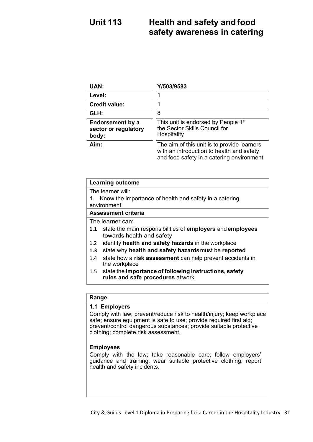# **Unit 113 Health and safety and food safety awareness in catering**

| <b>UAN:</b>                                              | Y/503/9583                                                                                                                             |
|----------------------------------------------------------|----------------------------------------------------------------------------------------------------------------------------------------|
| Level:                                                   |                                                                                                                                        |
| <b>Credit value:</b>                                     |                                                                                                                                        |
| GLH:                                                     | 8                                                                                                                                      |
| <b>Endorsement by a</b><br>sector or regulatory<br>body: | This unit is endorsed by People 1 <sup>st</sup><br>the Sector Skills Council for<br>Hospitality                                        |
| Aim:                                                     | The aim of this unit is to provide learners<br>with an introduction to health and safety<br>and food safety in a catering environment. |

| <b>Learning outcome</b>                                          |  |
|------------------------------------------------------------------|--|
| The learner will:                                                |  |
| Know the importance of health and safety in a catering<br>1.     |  |
| environment                                                      |  |
| Assessment criteria                                              |  |
| The learner can:                                                 |  |
| 1.1 state the main responsibilities of employers and employees   |  |
| towards health and safety                                        |  |
| identify health and safety hazards in the workplace<br>1.2       |  |
| state why health and safety hazards must be reported<br>1.3      |  |
| state how a risk assessment can help prevent accidents in<br>1.4 |  |
| the workplace                                                    |  |
| 1.5 state the importance of following instructions, safety       |  |
| rules and safe procedures at work.                               |  |
|                                                                  |  |
|                                                                  |  |

### **Range**

### **1.1 Employers**

Comply with law; prevent/reduce risk to health/injury; keep workplace safe; ensure equipment is safe to use; provide required first aid; prevent/control dangerous substances; provide suitable protective clothing; complete risk assessment.

### **Employees**

Comply with the law; take reasonable care; follow employers' guidance and training; wear suitable protective clothing; report health and safety incidents.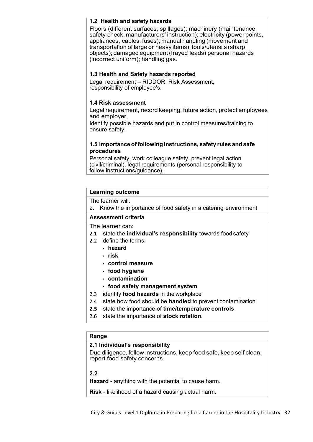### **1.2 Health and safety hazards**

Floors (different surfaces, spillages); machinery (maintenance, safety check, manufacturers' instruction); electricity (power points, appliances, cables, fuses); manual handling (movement and transportation of large or heavy items); tools/utensils (sharp objects); damaged equipment(frayed leads) personal hazards (incorrect uniform); handling gas.

### **1.3 Health and Safety hazards reported**

Legal requirement – RIDDOR, Risk Assessment, responsibility of employee's.

### **1.4 Risk assessment**

Legal requirement, record keeping, future action, protect employees and employer,

Identify possible hazards and put in control measures/training to ensure safety.

### **1.5 Importance of following instructions, safety rules and safe procedures**

Personal safety, work colleague safety, prevent legal action (civil/criminal), legal requirements (personal responsibility to follow instructions/guidance).

### **Learning outcome**

The learner will:

2. Know the importance of food safety in a catering environment

### **Assessment criteria**

The learner can:

- 2.1 state the **individual's responsibility** towards food safety
- 2.2 define the terms:
	- **hazard**
	- **risk**
	- **control measure**
	- **food hygiene**
	- **contamination**
	- **food safety management system**
- 2.3 identify **food hazards** in the workplace
- 2.4 state how food should be **handled** to prevent contamination
- **2.5** state the importance of **time/temperature controls**
- 2.6 state the importance of **stock rotation**.

### **Range**

### **2.1 Individual's responsibility**

Due diligence, follow instructions, keep food safe, keep self clean, report food safety concerns.

### **2.2**

**Hazard** - anything with the potential to cause harm.

**Risk** - likelihood of a hazard causing actual harm.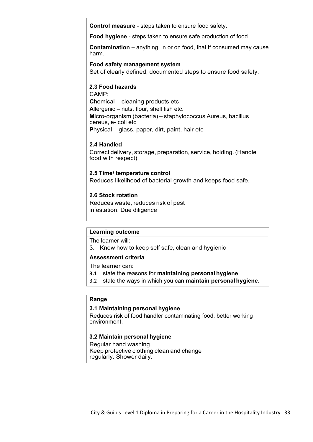**Control measure** - steps taken to ensure food safety.

**Food hygiene** - steps taken to ensure safe production of food.

**Contamination** – anything, in or on food, that if consumed may cause harm.

### **Food safety management system**

Set of clearly defined, documented steps to ensure food safety.

### **2.3 Food hazards**

CAMP: **C**hemical – cleaning products etc **A**llergenic – nuts, flour, shell fish etc. **M**icro-organism (bacteria) – staphylococcus Aureus, bacillus cereus, e- coli etc **P**hysical – glass, paper, dirt, paint, hair etc

### **2.4 Handled**

Correct delivery, storage, preparation, service, holding. (Handle food with respect).

### **2.5 Time/ temperature control**

Reduces likelihood of bacterial growth and keeps food safe.

### **2.6 Stock rotation**

Reduces waste, reduces risk of pest infestation. Due diligence

### **Learning outcome**

The learner will:

3. Know how to keep self safe, clean and hygienic

### **Assessment criteria**

The learner can:

- **3.1** state the reasons for **maintaining personal hygiene**
- 3.2 state the ways in which you can **maintain personal hygiene**.

### **Range**

### **3.1 Maintaining personal hygiene**

Reduces risk of food handler contaminating food, better working environment.

### **3.2 Maintain personal hygiene**

Regular hand washing. Keep protective clothing clean and change regularly. Shower daily.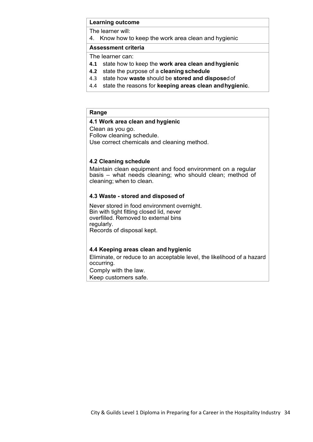The learner will:

4. Know how to keep the work area clean and hygienic

### **Assessment criteria**

The learner can:

- **4.1** state how to keep the **work area clean andhygienic**
- **4.2** state the purpose of a **cleaning schedule**
- 4.3 state how **waste** should be **stored and dispose**dof
- 4.4 state the reasons for **keeping areas clean andhygienic**.

### **Range**

### **4.1 Work area clean and hygienic**

Clean as you go.

Follow cleaning schedule.

Use correct chemicals and cleaning method.

### **4.2 Cleaning schedule**

Maintain clean equipment and food environment on a regular basis – what needs cleaning; who should clean; method of cleaning; when to clean.

### **4.3 Waste - stored and disposed of**

Never stored in food environment overnight. Bin with tight fitting closed lid, never overfilled. Removed to external bins regularly. Records of disposal kept.

### **4.4 Keeping areas clean and hygienic**

Eliminate, or reduce to an acceptable level, the likelihood of a hazard occurring.

Comply with the law.

Keep customers safe.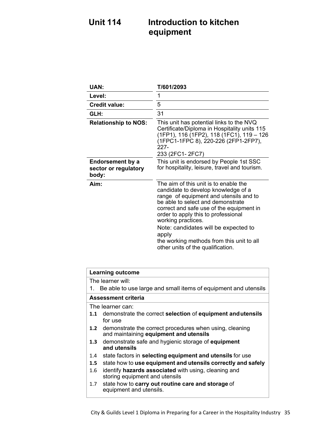# **Unit 114 Introduction to kitchen equipment**

| <b>UAN:</b>                                              | T/601/2093                                                                                                                                                                                                                                                                                                                                                                                              |
|----------------------------------------------------------|---------------------------------------------------------------------------------------------------------------------------------------------------------------------------------------------------------------------------------------------------------------------------------------------------------------------------------------------------------------------------------------------------------|
| Level:                                                   | 1                                                                                                                                                                                                                                                                                                                                                                                                       |
| Credit value:                                            | 5                                                                                                                                                                                                                                                                                                                                                                                                       |
| GLH:                                                     | 31                                                                                                                                                                                                                                                                                                                                                                                                      |
| <b>Relationship to NOS:</b>                              | This unit has potential links to the NVQ<br>Certificate/Diploma in Hospitality units 115<br>(1FP1), 116 (1FP2), 118 (1FC1), 119 – 126<br>(1FPC1-1FPC 8), 220-226 (2FP1-2FP7),<br>227-<br>233 (2FC1-2FC7)                                                                                                                                                                                                |
| <b>Endorsement by a</b><br>sector or regulatory<br>body: | This unit is endorsed by People 1st SSC<br>for hospitality, leisure, travel and tourism.                                                                                                                                                                                                                                                                                                                |
| Aim:                                                     | The aim of this unit is to enable the<br>candidate to develop knowledge of a<br>range of equipment and utensils and to<br>be able to select and demonstrate<br>correct and safe use of the equipment in<br>order to apply this to professional<br>working practices.<br>Note: candidates will be expected to<br>apply<br>the working methods from this unit to all<br>other units of the qualification. |

|                  | <b>Learning outcome</b>                                                                               |
|------------------|-------------------------------------------------------------------------------------------------------|
|                  | The learner will:                                                                                     |
| 1.               | Be able to use large and small items of equipment and utensils                                        |
|                  | Assessment criteria                                                                                   |
|                  | The learner can:                                                                                      |
|                  | 1.1 demonstrate the correct selection of equipment and utensils<br>for use                            |
|                  | 1.2 demonstrate the correct procedures when using, cleaning<br>and maintaining equipment and utensils |
| 1.3              | demonstrate safe and hygienic storage of <b>equipment</b><br>and utensils                             |
| 1.4              | state factors in selecting equipment and utensils for use                                             |
| 1.5 <sub>1</sub> | state how to use equipment and utensils correctly and safely                                          |
| 1.6              | identify <b>hazards associated</b> with using, cleaning and<br>storing equipment and utensils         |
| 1.7              | state how to carry out routine care and storage of<br>equipment and utensils.                         |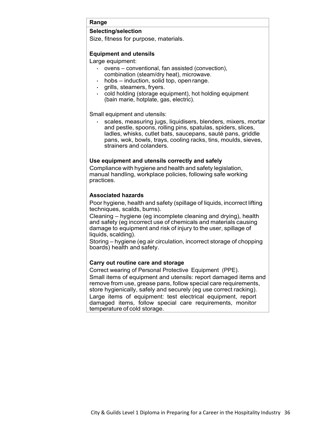### **Range**

### **Selecting/selection**

Size, fitness for purpose, materials.

### **Equipment and utensils**

Large equipment:

- ovens conventional, fan assisted (convection), combination (steam/dry heat), microwave.
	- hobs induction, solid top, open range.
- grills, steamers, fryers.
- cold holding (storage equipment), hot holding equipment (bain marie, hotplate, gas, electric).

Small equipment and utensils:

• scales, measuring jugs, liquidisers, blenders, mixers, mortar and pestle, spoons, rolling pins, spatulas, spiders, slices, ladles, whisks, cutlet bats, saucepans, sauté pans, griddle pans, wok, bowls, trays, cooling racks, tins, moulds, sieves, strainers and colanders.

### **Use equipment and utensils correctly and safely**

Compliance with hygiene and health and safety legislation, manual handling, workplace policies, following safe working practices.

### **Associated hazards**

Poor hygiene, health and safety (spillage of liquids, incorrect lifting techniques, scalds, burns).

Cleaning – hygiene (eg incomplete cleaning and drying), health and safety (eg incorrect use of chemicals and materials causing damage to equipment and risk of injury to the user, spillage of liquids, scalding).

Storing – hygiene (eg air circulation, incorrect storage of chopping boards) health and safety.

### **Carry out routine care and storage**

Correct wearing of Personal Protective Equipment (PPE). Small items of equipment and utensils: report damaged items and remove from use, grease pans, follow special care requirements, store hygienically, safely and securely (eg use correct racking). Large items of equipment: test electrical equipment, report damaged items, follow special care requirements, monitor temperature of cold storage.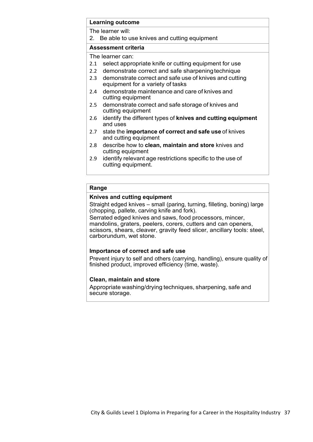|     | <b>Learning outcome</b>                                                                        |
|-----|------------------------------------------------------------------------------------------------|
|     | The learner will:                                                                              |
|     | 2. Be able to use knives and cutting equipment                                                 |
|     | Assessment criteria                                                                            |
|     | The learner can:                                                                               |
|     | 2.1 select appropriate knife or cutting equipment for use                                      |
|     | 2.2 demonstrate correct and safe sharpening technique                                          |
|     | 2.3 demonstrate correct and safe use of knives and cutting<br>equipment for a variety of tasks |
| 2.4 | demonstrate maintenance and care of knives and<br>cutting equipment                            |
|     | 2.5 demonstrate correct and safe storage of knives and<br>cutting equipment                    |
| 2.6 | identify the different types of knives and cutting equipment<br>and uses                       |
| 2.7 | state the importance of correct and safe use of knives<br>and cutting equipment                |
| 2.8 | describe how to <b>clean, maintain and store</b> knives and<br>cutting equipment               |
| 2.9 | identify relevant age restrictions specific to the use of<br>cutting equipment.                |

### **Range**

### **Knives and cutting equipment**

Straight edged knives – small (paring, turning, filleting, boning) large (chopping, pallete, carving knife and fork).

Serrated edged knives and saws, food processors, mincer, mandolins, graters, peelers, corers, cutters and can openers, scissors, shears, cleaver, gravity feed slicer, ancillary tools: steel, carborundum, wet stone.

### **Importance of correct and safe use**

Prevent injury to self and others (carrying, handling), ensure quality of finished product, improved efficiency (time, waste).

### **Clean, maintain and store**

Appropriate washing/drying techniques, sharpening, safe and secure storage.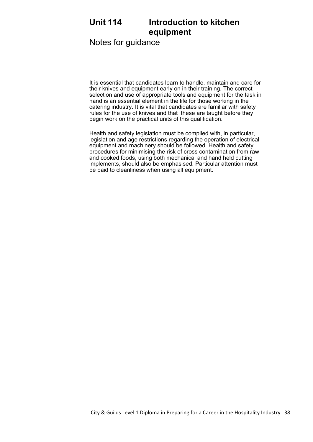# **Unit 114 Introduction to kitchen equipment**

Notes for guidance

It is essential that candidates learn to handle, maintain and care for their knives and equipment early on in their training. The correct selection and use of appropriate tools and equipment for the task in hand is an essential element in the life for those working in the catering industry. It is vital that candidates are familiar with safety rules for the use of knives and that these are taught before they begin work on the practical units of this qualification.

Health and safety legislation must be complied with, in particular, legislation and age restrictions regarding the operation of electrical equipment and machinery should be followed. Health and safety procedures for minimising the risk of cross contamination from raw and cooked foods, using both mechanical and hand held cutting implements, should also be emphasised. Particular attention must be paid to cleanliness when using all equipment.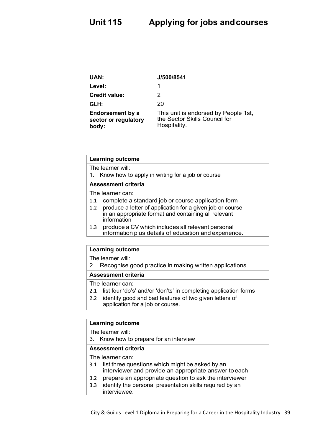| UAN:                                                     | J/500/8541                                                                            |
|----------------------------------------------------------|---------------------------------------------------------------------------------------|
| Level:                                                   |                                                                                       |
| <b>Credit value:</b>                                     |                                                                                       |
| GLH:                                                     | 20                                                                                    |
| <b>Endorsement by a</b><br>sector or regulatory<br>body: | This unit is endorsed by People 1st,<br>the Sector Skills Council for<br>Hospitality. |

| <b>Learning outcome</b>                                                                                                                 |
|-----------------------------------------------------------------------------------------------------------------------------------------|
| The learner will:                                                                                                                       |
| 1. Know how to apply in writing for a job or course                                                                                     |
| <b>Assessment criteria</b>                                                                                                              |
| The learner can:                                                                                                                        |
| complete a standard job or course application form<br>1.1                                                                               |
| produce a letter of application for a given job or course<br>1.2<br>in an appropriate format and containing all relevant<br>information |
| produce a CV which includes all relevant personal<br>1.3<br>information plus details of education and experience.                       |

The learner will:

2. Recognise good practice in making written applications

**Assessment criteria**

The learner can:

- 2.1 list four 'do's' and/or 'don'ts' in completing application forms
- 2.2 identify good and bad features of two given letters of application for a job or course.

### **Learning outcome**

The learner will:

3. Know how to prepare for an interview

### **Assessment criteria**

The learner can:

- 3.1 list three questions which might be asked by an interviewer and provide an appropriate answer to each
- 3.2 prepare an appropriate question to ask the interviewer
- 3.3 identify the personal presentation skills required by an interviewee.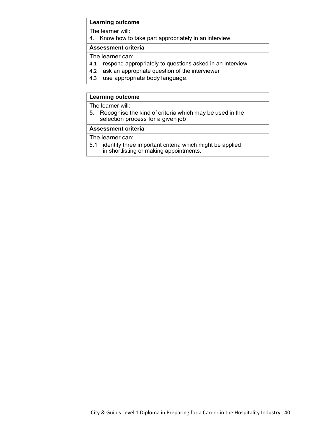The learner will:

4. Know how to take part appropriately in an interview

### **Assessment criteria**

The learner can:

- 4.1 respond appropriately to questions asked in an interview
- 4.2 ask an appropriate question of the interviewer
- 4.3 use appropriate body language.

### **Learning outcome**

The learner will:

5. Recognise the kind of criteria which may be used in the selection process for a given job

### **Assessment criteria**

The learner can:

- 5.1 identify three important criteria which might be applied
	- in shortlisting or making appointments.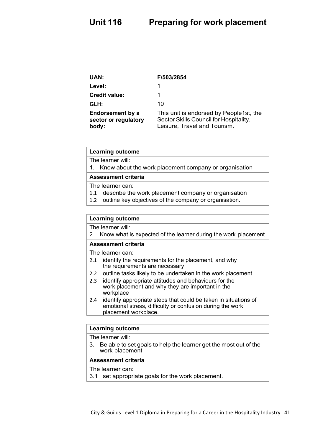| UAN:                                                     | F/503/2854                                                                                                        |
|----------------------------------------------------------|-------------------------------------------------------------------------------------------------------------------|
| Level:                                                   |                                                                                                                   |
| <b>Credit value:</b>                                     |                                                                                                                   |
| GLH:                                                     | 10                                                                                                                |
| <b>Endorsement by a</b><br>sector or regulatory<br>body: | This unit is endorsed by People1st, the<br>Sector Skills Council for Hospitality,<br>Leisure, Travel and Tourism. |

The learner will:

1. Know about the work placement company or organisation

### **Assessment criteria**

The learner can:

- 1.1 describe the work placement company or organisation
- 1.2 outline key objectives of the company or organisation.

### **Learning outcome**

The learner will:

2. Know what is expected of the learner during the work placement

### **Assessment criteria**

The learner can:

- 2.1 identify the requirements for the placement, and why the requirements are necessary
- 2.2 outline tasks likely to be undertaken in the work placement
- 2.3 identify appropriate attitudes and behaviours for the work placement and why they are important in the workplace
- 2.4 identify appropriate steps that could be taken in situations of emotional stress, difficulty or confusion during the work placement workplace.

### **Learning outcome**

The learner will:

3. Be able to set goals to help the learner get the most out of the work placement

### **Assessment criteria**

### The learner can:

3.1 set appropriate goals for the work placement.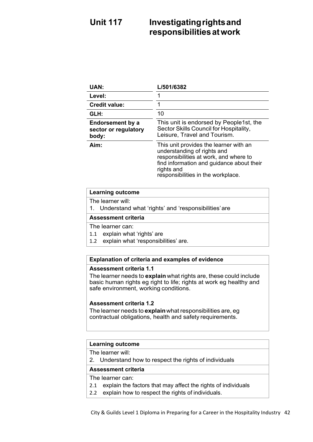# **Unit 117 Investigatingrightsand responsibilitiesatwork**

| <b>UAN:</b>                                       | L/501/6382                                                                                                                                                                                                       |
|---------------------------------------------------|------------------------------------------------------------------------------------------------------------------------------------------------------------------------------------------------------------------|
| Level:                                            |                                                                                                                                                                                                                  |
| <b>Credit value:</b>                              |                                                                                                                                                                                                                  |
| GLH:                                              | 10                                                                                                                                                                                                               |
| Endorsement by a<br>sector or regulatory<br>body: | This unit is endorsed by People1st, the<br>Sector Skills Council for Hospitality,<br>Leisure, Travel and Tourism.                                                                                                |
| Aim:                                              | This unit provides the learner with an<br>understanding of rights and<br>responsibilities at work, and where to<br>find information and guidance about their<br>rights and<br>responsibilities in the workplace. |

### **Learning outcome**

- The learner will:
- 1. Understand what 'rights' and 'responsibilities'are

### **Assessment criteria**

### The learner can:

- 1.1 explain what 'rights' are
- 1.2 explain what 'responsibilities' are.

### **Explanation of criteria and examples of evidence**

### **Assessment criteria 1.1**

The learner needs to **explain** what rights are, these could include basic human rights eg right to life; rights at work eg healthy and safe environment, working conditions.

### **Assessment criteria 1.2**

The learner needs to **explain**what responsibilities are, eg contractual obligations, health and safety requirements.

### **Learning outcome**

The learner will:

2. Understand how to respect the rights of individuals

### **Assessment criteria**

### The learner can:

- 2.1 explain the factors that may affect the rights of individuals
- 2.2 explain how to respect the rights of individuals.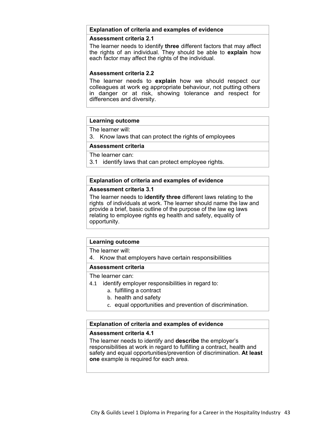### **Explanation of criteria and examples of evidence**

### **Assessment criteria 2.1**

The learner needs to identify **three** different factors that may affect the rights of an individual. They should be able to **explain** how each factor may affect the rights of the individual.

### **Assessment criteria 2.2**

The learner needs to **explain** how we should respect our colleagues at work eg appropriate behaviour, not putting others in danger or at risk, showing tolerance and respect for differences and diversity.

### **Learning outcome**

The learner will:

3. Know laws that can protect the rights of employees

### **Assessment criteria**

The learner can:

3.1 identify laws that can protect employee rights.

### **Explanation of criteria and examples of evidence**

### **Assessment criteria 3.1**

The learner needs to **identify three** different laws relating to the rights of individuals at work. The learner should name the law and provide a brief, basic outline of the purpose of the law eg laws relating to employee rights eg health and safety, equality of opportunity.

### **Learning outcome**

The learner will:

4. Know that employers have certain responsibilities

### **Assessment criteria**

The learner can:

- 4.1 identify employer responsibilities in regard to:
	- a. fulfilling a contract
	- b. health and safety
	- c. equal opportunities and prevention of discrimination.

### **Explanation of criteria and examples of evidence**

### **Assessment criteria 4.1**

The learner needs to identify and **describe** the employer's responsibilities at work in regard to fulfilling a contract, health and safety and equal opportunities/prevention of discrimination. **At least one** example is required for each area.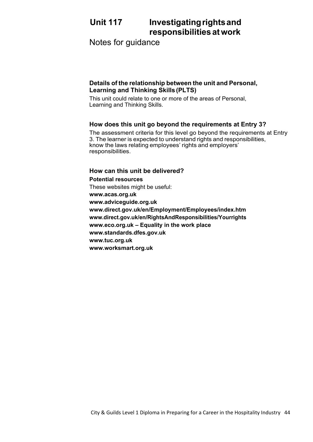# **Unit 117 Investigatingrightsand responsibilities atwork**

Notes for guidance

### **Details of the relationship between the unit and Personal, Learning and Thinking Skills (PLTS)**

This unit could relate to one or more of the areas of Personal, Learning and Thinking Skills.

### **How does this unit go beyond the requirements at Entry 3?**

The assessment criteria for this level go beyond the requirements at Entry 3. The learner is expected to understand rights and responsibilities, know the laws relating employees' rights and employers' responsibilities.

### **How can this unit be delivered? Potential resources** These websites might be useful: **[www.acas.org.uk](http://www.acas.org.uk/) [www.adviceguide.org.uk](http://www.adviceguide.org.uk/) [www.direct.gov.uk/en/Employment/Employees/index.htm](http://www.direct.gov.uk/en/Employment/Employees/index.htm) [www.direct.gov.uk/en/RightsAndResponsibilities/Yourrights](http://www.direct.gov.uk/en/RightsAndResponsibilities/Yourrights) [www.eco.org.uk –](http://www.eco.org.uk/) Equality in the work place [www.standards.dfes.gov.uk](http://www.standards.dfes.gov.uk/) [www.tuc.org.uk](http://www.tuc.org.uk/) [www.worksmart.org.uk](http://www.worksmart.org.uk/)**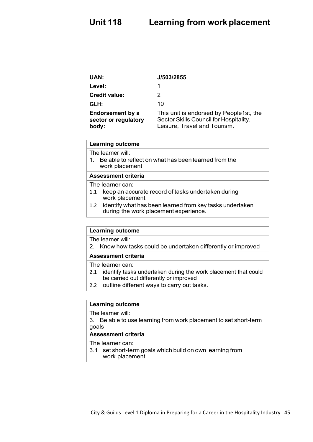| UAN:                                                     | J/503/2855                                                                                                        |
|----------------------------------------------------------|-------------------------------------------------------------------------------------------------------------------|
| Level:                                                   |                                                                                                                   |
| <b>Credit value:</b>                                     |                                                                                                                   |
| GLH:                                                     | 10                                                                                                                |
| <b>Endorsement by a</b><br>sector or regulatory<br>body: | This unit is endorsed by People1st, the<br>Sector Skills Council for Hospitality,<br>Leisure, Travel and Tourism. |

The learner will:

1. Be able to reflect on what has been learned from the work placement

### **Assessment criteria**

The learner can:

- 1.1 keep an accurate record of tasks undertaken during work placement
- 1.2 identify what has been learned from key tasks undertaken during the work placement experience.

### **Learning outcome**

The learner will:

2. Know how tasks could be undertaken differently or improved

### **Assessment criteria**

The learner can:

- 2.1 identify tasks undertaken during the work placement that could be carried out differently or improved
- 2.2 outline different ways to carry out tasks.

### **Learning outcome**

The learner will:

3. Be able to use learning from work placement to set short-term goals

### **Assessment criteria**

The learner can:

3.1 set short-term goals which build on own learning from work placement.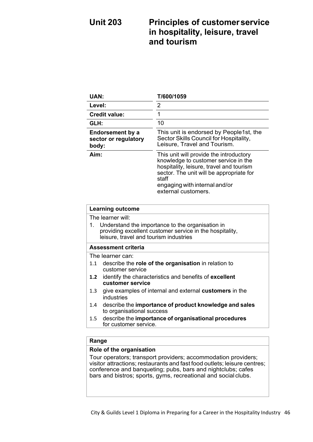# **Unit 203 Principles of customerservice in hospitality, leisure, travel and tourism**

| <b>UAN:</b>                                                                                                                                                              | T/600/1059                                                                                                                                                                                                                               |  |
|--------------------------------------------------------------------------------------------------------------------------------------------------------------------------|------------------------------------------------------------------------------------------------------------------------------------------------------------------------------------------------------------------------------------------|--|
| Level:                                                                                                                                                                   | 2                                                                                                                                                                                                                                        |  |
| <b>Credit value:</b>                                                                                                                                                     | 1                                                                                                                                                                                                                                        |  |
| GLH:                                                                                                                                                                     | 10                                                                                                                                                                                                                                       |  |
| <b>Endorsement by a</b><br>sector or regulatory<br>body:                                                                                                                 | This unit is endorsed by People1st, the<br>Sector Skills Council for Hospitality,<br>Leisure, Travel and Tourism.                                                                                                                        |  |
| Aim:                                                                                                                                                                     | This unit will provide the introductory<br>knowledge to customer service in the<br>hospitality, leisure, travel and tourism<br>sector. The unit will be appropriate for<br>staff<br>engaging with internal and/or<br>external customers. |  |
| <b>Learning outcome</b>                                                                                                                                                  |                                                                                                                                                                                                                                          |  |
| The learner will:                                                                                                                                                        |                                                                                                                                                                                                                                          |  |
| 1 <sub>1</sub><br>Understand the importance to the organisation in<br>providing excellent customer service in the hospitality,<br>leisure, travel and tourism industries |                                                                                                                                                                                                                                          |  |
| <b>Assessment criteria</b>                                                                                                                                               |                                                                                                                                                                                                                                          |  |
| The learner can:                                                                                                                                                         |                                                                                                                                                                                                                                          |  |
| 1.1<br>customer service                                                                                                                                                  | describe the role of the organisation in relation to                                                                                                                                                                                     |  |
| 1.2<br>customer service                                                                                                                                                  | identify the characteristics and benefits of excellent                                                                                                                                                                                   |  |
| 1.3<br>industries                                                                                                                                                        | give examples of internal and external customers in the                                                                                                                                                                                  |  |
| 1.4                                                                                                                                                                      | describe the importance of product knowledge and sales<br>to organisational success                                                                                                                                                      |  |
| 1.5<br>for customer service.                                                                                                                                             | describe the importance of organisational procedures                                                                                                                                                                                     |  |
| Range                                                                                                                                                                    |                                                                                                                                                                                                                                          |  |

### **Range**

### **Role of the organisation**

Tour operators; transport providers; accommodation providers; visitor attractions; restaurants and fast food outlets; leisure centres; conference and banqueting; pubs, bars and nightclubs; cafes bars and bistros; sports, gyms, recreational and social clubs.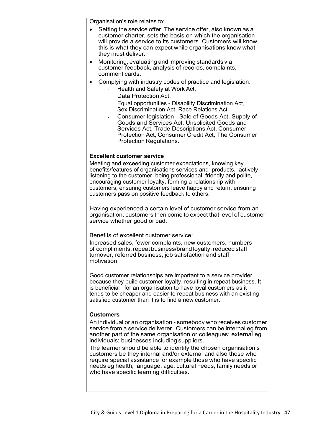Organisation's role relates to:

- Setting the service offer. The service offer, also known as a customer charter, sets the basis on which the organisation will provide a service to its customers. Customers will know this is what they can expect while organisations know what they must deliver.
- Monitoring, evaluating and improving standards via customer feedback, analysis of records, complaints, comment cards.
- Complying with industry codes of practice and legislation:
	- Health and Safety at Work Act.
		- Data Protection Act.
		- Equal opportunities Disability Discrimination Act, Sex Discrimination Act, Race Relations Act.
		- Consumer legislation Sale of Goods Act, Supply of Goods and Services Act, Unsolicited Goods and Services Act, Trade Descriptions Act, Consumer Protection Act, Consumer Credit Act, The Consumer Protection Regulations.

### **Excellent customer service**

Meeting and exceeding customer expectations, knowing key benefits/features of organisations services and products, actively listening to the customer, being professional, friendly and polite, encouraging customer loyalty, forming a relationship with customers, ensuring customers leave happy and return, ensuring customers pass on positive feedback to others.

Having experienced a certain level of customer service from an organisation, customers then come to expect that level of customer service whether good or bad.

Benefits of excellent customer service:

Increased sales, fewer complaints, new customers, numbers of compliments, repeat business/brand loyalty, reduced staff turnover, referred business, job satisfaction and staff motivation.

Good customer relationships are important to a service provider because they build customer loyalty, resulting in repeat business. It is beneficial for an organisation to have loyal customers as it tends to be cheaper and easier to repeat business with an existing satisfied customer than it is to find a new customer.

### **Customers**

An individual or an organisation - somebody who receives customer service from a service deliverer. Customers can be internal eg from another part of the same organisation or colleagues; external eg individuals; businesses including suppliers.

The learner should be able to identify the chosen organisation's customers be they internal and/or external and also those who require special assistance for example those who have specific needs eg health, language, age, cultural needs, family needs or who have specific learning difficulties.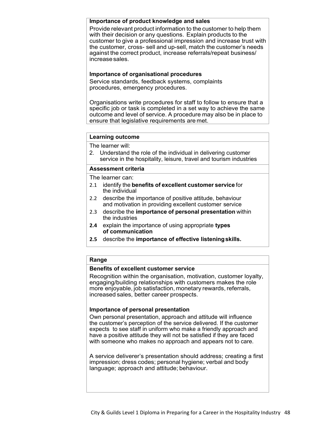### **Importance of product knowledge and sales**

Provide relevant product information to the customer to help them with their decision or any questions. Explain products to the customer to give a professional impression and increase trust with the customer, cross- sell and up-sell, match the customer's needs against the correct product, increase referrals/repeat business/ increasesales.

### **Importance of organisational procedures**

Service standards, feedback systems, complaints procedures, emergency procedures.

Organisations write procedures for staff to follow to ensure that a specific job or task is completed in a set way to achieve the same outcome and level of service. A procedure may also be in place to ensure that legislative requirements are met.

### **Learning outcome**

The learner will:

2. Understand the role of the individual in delivering customer service in the hospitality, leisure, travel and tourism industries

### **Assessment criteria**

The learner can:

- 2.1 identify the **benefits of excellent customer service** for the individual
- 2.2 describe the importance of positive attitude, behaviour and motivation in providing excellent customer service
- 2.3 describe the **importance of personal presentation** within the industries
- **2.4** explain the importance of using appropriate **types of communication**
- **2.5** describe the **importance of effective listeningskills.**

### **Range**

### **Benefits of excellent customer service**

Recognition within the organisation, motivation, customer loyalty, engaging/building relationships with customers makes the role more enjoyable, job satisfaction, monetary rewards, referrals, increased sales, better career prospects.

### **Importance of personal presentation**

Own personal presentation, approach and attitude will influence the customer's perception of the service delivered. If the customer expects to see staff in uniform who make a friendly approach and have a positive attitude they will not be satisfied if they are faced with someone who makes no approach and appears not to care.

A service deliverer's presentation should address; creating a first impression; dress codes; personal hygiene; verbal and body language; approach and attitude; behaviour.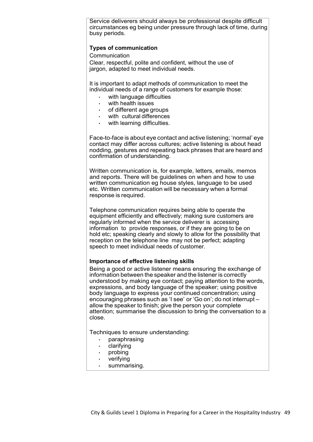Service deliverers should always be professional despite difficult circumstances eg being under pressure through lack of time, during busy periods.

### **Types of communication**

Communication

Clear, respectful, polite and confident, without the use of jargon, adapted to meet individual needs.

It is important to adapt methods of communication to meet the individual needs of a range of customers for example those:

- with language difficulties
- with health issues
- of different age groups
- with cultural differences
- with learning difficulties.

Face-to-face is about eye contact and active listening; 'normal' eye contact may differ across cultures; active listening is about head nodding, gestures and repeating back phrases that are heard and confirmation of understanding.

Written communication is, for example, letters, emails, memos and reports. There will be guidelines on when and how to use written communication eg house styles, language to be used etc. Written communication will be necessary when a formal response is required.

Telephone communication requires being able to operate the equipment efficiently and effectively; making sure customers are regularly informed when the service deliverer is accessing information to provide responses, or if they are going to be on hold etc; speaking clearly and slowly to allow for the possibility that reception on the telephone line may not be perfect; adapting speech to meet individual needs of customer.

### **Importance of effective listening skills**

Being a good or active listener means ensuring the exchange of information between the speaker and the listener is correctly understood by making eye contact; paying attention to the words, expressions, and body language of the speaker; using positive body language to express your continued concentration; using encouraging phrases such as 'I see' or 'Go on'; do not interrupt – allow the speaker to finish; give the person your complete attention; summarise the discussion to bring the conversation to a close.

Techniques to ensure understanding:

- paraphrasing
- clarifying
- probing
- **verifying**
- summarising.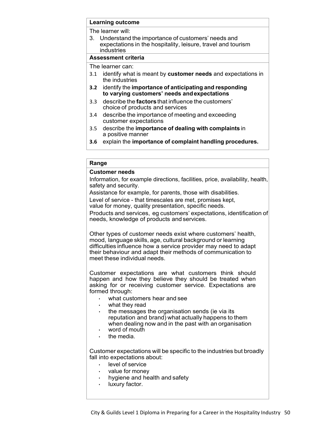The learner will:

3. Understand the importance of customers' needs and expectations in the hospitality, leisure, travel and tourism industries

### **Assessment criteria**

The learner can:

- 3.1 identify what is meant by **customer needs** and expectations in the industries
- **3.2** identify the **importance of anticipating and responding to varying customers' needs andexpectations**
- 3.3 describe the **factors**that influence the customers' choice of products and services
- 3.4 describe the importance of meeting and exceeding customer expectations
- 3.5 describe the **importance of dealing with complaints** in a positive manner
- **3.6** explain the **importance of complaint handling procedures.**

### **Range**

### **Customer needs**

Information, for example directions, facilities, price, availability, health, safety and security.

Assistance for example, for parents, those with disabilities.

Level of service - that timescales are met, promises kept,

value for money, quality presentation, specific needs.

Products and services, eg customers' expectations, identification of needs, knowledge of products and services.

Other types of customer needs exist where customers' health, mood, language skills, age, cultural background or learning difficulties influence how a service provider may need to adapt their behaviour and adapt their methods of communication to meet these individual needs.

Customer expectations are what customers think should happen and how they believe they should be treated when asking for or receiving customer service. Expectations are formed through:

- what customers hear and see
- what they read
- the messages the organisation sends (ie via its reputation and brand) what actually happens to them when dealing now and in the past with an organisation
- word of mouth
- the media

Customer expectations will be specific to the industries but broadly fall into expectations about:

- level of service
- value for money
- hygiene and health and safety
- luxury factor.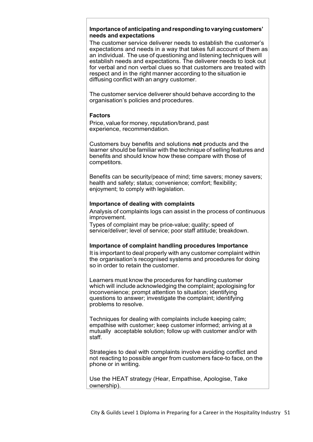### **Importance of anticipating and responding to varying customers' needs and expectations**

The customer service deliverer needs to establish the customer's expectations and needs in a way that takes full account of them as an individual. The use of questioning and listening techniques will establish needs and expectations. The deliverer needs to look out for verbal and non verbal clues so that customers are treated with respect and in the right manner according to the situation ie diffusing conflict with an angry customer.

The customer service deliverer should behave according to the organisation's policies and procedures.

### **Factors**

Price, value for money, reputation/brand, past experience, recommendation.

Customers buy benefits and solutions **not** products and the learner should be familiar with the technique of selling features and benefits and should know how these compare with those of competitors.

Benefits can be security/peace of mind; time savers; money savers; health and safety; status; convenience; comfort; flexibility; enjoyment; to comply with legislation.

### **Importance of dealing with complaints**

Analysis of complaints logs can assist in the process of continuous improvement.

Types of complaint may be price-value; quality; speed of service/deliver; level of service; poor staff attitude; breakdown.

### **Importance of complaint handling procedures Importance**

It is important to deal properly with any customer complaint within the organisation's recognised systems and procedures for doing so in order to retain the customer.

Learners must know the procedures for handling customer which will include acknowledging the complaint; apologising for inconvenience; prompt attention to situation; identifying questions to answer; investigate the complaint; identifying problems to resolve.

Techniques for dealing with complaints include keeping calm; empathise with customer; keep customer informed; arriving at a mutually acceptable solution; follow up with customer and/or with staff.

Strategies to deal with complaints involve avoiding conflict and not reacting to possible anger from customers face-to face, on the phone or in writing.

Use the HEAT strategy (Hear, Empathise, Apologise, Take ownership).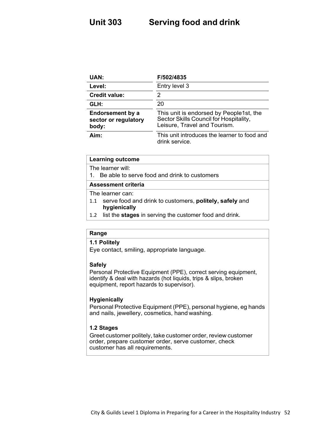# **Unit 303 Serving food and drink**

| UAN:                                                     | F/502/4835                                                                                                        |
|----------------------------------------------------------|-------------------------------------------------------------------------------------------------------------------|
| Level:                                                   | Entry level 3                                                                                                     |
| <b>Credit value:</b>                                     | 2                                                                                                                 |
| GLH:                                                     | 20                                                                                                                |
| <b>Endorsement by a</b><br>sector or regulatory<br>body: | This unit is endorsed by People1st, the<br>Sector Skills Council for Hospitality,<br>Leisure, Travel and Tourism. |
| Aim:                                                     | This unit introduces the learner to food and<br>drink service.                                                    |

### **Learning outcome**

The learner will:

1. Be able to serve food and drink to customers

### **Assessment criteria**

The learner can:

- 1.1 serve food and drink to customers, **politely, safely** and **hygienically**
- 1.2 list the **stages** in serving the customer food and drink.

### **Range**

### **1.1 Politely**

Eye contact, smiling, appropriate language.

### **Safely**

Personal Protective Equipment (PPE), correct serving equipment, identify & deal with hazards (hot liquids, trips & slips, broken equipment, report hazards to supervisor).

### **Hygienically**

Personal Protective Equipment (PPE), personal hygiene, eg hands and nails, jewellery, cosmetics, hand washing.

### **1.2 Stages**

Greet customer politely, take customer order, review customer order, prepare customer order, serve customer, check customer has all requirements.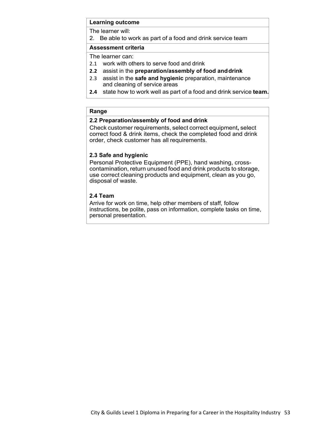The learner will:

2. Be able to work as part of a food and drink service team

### **Assessment criteria**

The learner can:

- 2.1 work with others to serve food and drink
- **2.2** assist in the **preparation/assembly of food anddrink**
- 2.3 assist in the **safe and hygienic** preparation, maintenance and cleaning of service areas
- **2.4** state how to work well as part of a food and drink service **team.**

### **Range**

### **2.2 Preparation/assembly of food and drink**

Check customer requirements, select correct equipment**,** select correct food & drink items, check the completed food and drink order, check customer has all requirements.

### **2.3 Safe and hygienic**

Personal Protective Equipment (PPE), hand washing, crosscontamination, return unused food and drink products to storage, use correct cleaning products and equipment, clean as you go, disposal of waste.

### **2.4 Team**

Arrive for work on time, help other members of staff, follow instructions, be polite, pass on information, complete tasks on time, personal presentation.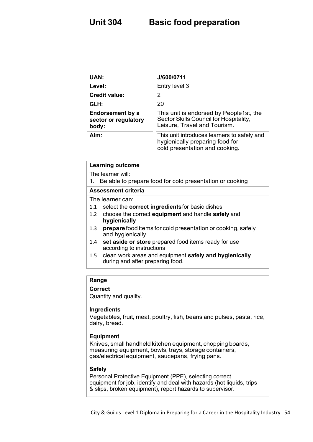| <b>UAN:</b>                                       | J/600/0711                                                                                                        |
|---------------------------------------------------|-------------------------------------------------------------------------------------------------------------------|
| Level:                                            | Entry level 3                                                                                                     |
| <b>Credit value:</b>                              | 2                                                                                                                 |
| GLH:                                              | 20                                                                                                                |
| Endorsement by a<br>sector or regulatory<br>body: | This unit is endorsed by People1st, the<br>Sector Skills Council for Hospitality,<br>Leisure, Travel and Tourism. |
| Aim:                                              | This unit introduces learners to safely and<br>hygienically preparing food for<br>cold presentation and cooking.  |

| <b>Learning outcome</b>                                                                           |  |
|---------------------------------------------------------------------------------------------------|--|
| The learner will:                                                                                 |  |
| 1. Be able to prepare food for cold presentation or cooking                                       |  |
| Assessment criteria                                                                               |  |
| The learner can:                                                                                  |  |
| select the correct ingredients for basic dishes                                                   |  |
| 1.2 choose the correct equipment and handle safely and                                            |  |
| hygienically                                                                                      |  |
| <b>prepare</b> food items for cold presentation or cooking, safely<br>1.3<br>and hygienically     |  |
| set aside or store prepared food items ready for use<br>according to instructions                 |  |
| clean work areas and equipment safely and hygienically<br>1.5<br>during and after preparing food. |  |
|                                                                                                   |  |

### **Range**

### **Correct**

Quantity and quality.

### **Ingredients**

Vegetables, fruit, meat, poultry, fish, beans and pulses, pasta, rice, dairy, bread.

### **Equipment**

Knives, small handheld kitchen equipment, chopping boards, measuring equipment, bowls, trays, storage containers, gas/electrical equipment, saucepans, frying pans.

### **Safely**

Personal Protective Equipment (PPE), selecting correct equipment for job, identify and deal with hazards (hot liquids, trips & slips, broken equipment), report hazards to supervisor.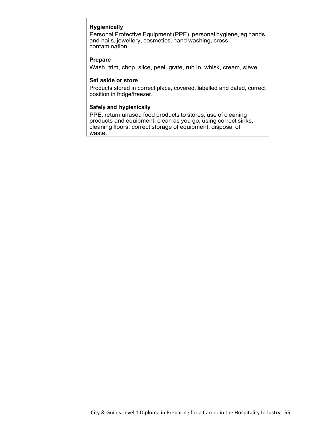### **Hygienically**

Personal Protective Equipment (PPE), personal hygiene, eg hands and nails, jewellery, cosmetics, hand washing, crosscontamination.

### **Prepare**

Wash, trim, chop, slice, peel, grate, rub in, whisk, cream, sieve.

### **Set aside or store**

Products stored in correct place, covered, labelled and dated, correct position in fridge/freezer.

### **Safely and hygienically**

PPE, return unused food products to stores, use of cleaning products and equipment, clean as you go, using correct sinks, cleaning floors, correct storage of equipment, disposal of waste.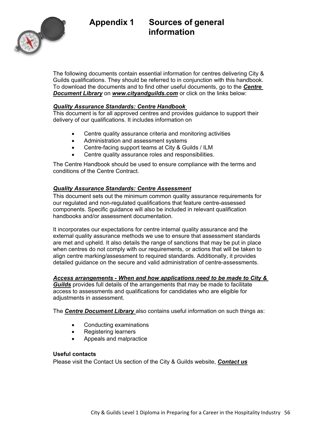



The following documents contain essential information for centres delivering City & Guilds qualifications. They should be referred to in conjunction with this handbook. To download the documents and to find other useful documents, go to the *[Centre](https://www.cityandguilds.com/delivering-our-qualifications/centre-development/centre-document-library)  [Document Library](https://www.cityandguilds.com/delivering-our-qualifications/centre-development/centre-document-library)* on *[www.cityandguilds.com](http://www.cityandguilds.com/)* or click on the links below:

### *[Quality Assurance Standards: Centre Handbook](https://www.cityandguilds.com/-/media/ilm-website/sharepoint-documents/_published-documents/qas-centre-handbook-pdf.ashx?la=en&hash=4A5447E601FBB9B560AAE285C5ECD56173ED22DA)*

This document is for all approved centres and provides guidance to support their delivery of our qualifications. It includes information on

- Centre quality assurance criteria and monitoring activities
- Administration and assessment systems
- Centre-facing support teams at City & Guilds / ILM
- Centre quality assurance roles and responsibilities.

The Centre Handbook should be used to ensure compliance with the terms and conditions of the Centre Contract.

### *[Quality Assurance Standards: Centre Assessment](https://www.cityandguilds.com/-/media/ilm-website/sharepoint-documents/_published-documents/qas-centre-assessment-pdf.ashx?la=en&hash=2E8427DC28E5517AFE5778E08398F69DF48EB554)*

This document sets out the minimum common quality assurance requirements for our regulated and non-regulated qualifications that feature centre-assessed components. Specific guidance will also be included in relevant qualification handbooks and/or assessment documentation.

It incorporates our expectations for centre internal quality assurance and the external quality assurance methods we use to ensure that assessment standards are met and upheld. It also details the range of sanctions that may be put in place when centres do not comply with our requirements, or actions that will be taken to align centre marking/assessment to required standards. Additionally, it provides detailed guidance on the secure and valid administration of centre-assessments.

### *Access arrangements - [When and how applications need to be made to City &](https://www.cityandguilds.com/-/media/cityandguilds-site/documents/delivering-our-qualifications/access-arrangements-when-and-how-to-apply-pdf.ashx?la=en&hash=8358C1BB86F242D18E468D771939693867E9CBEE)*

*[Guilds](https://www.cityandguilds.com/-/media/cityandguilds-site/documents/delivering-our-qualifications/access-arrangements-when-and-how-to-apply-pdf.ashx?la=en&hash=8358C1BB86F242D18E468D771939693867E9CBEE)* provides full details of the arrangements that may be made to facilitate access to assessments and qualifications for candidates who are eligible for adjustments in assessment.

The *[Centre Document Library](https://www.cityandguilds.com/delivering-our-qualifications/centre-development/centre-document-library)* also contains useful information on such things as:

- Conducting examinations
- Registering learners
- Appeals and malpractice

### **Useful contacts**

Please visit the Contact Us section of the City & Guilds website, *[Contact us](https://www.cityandguilds.com/help/contact-us)*